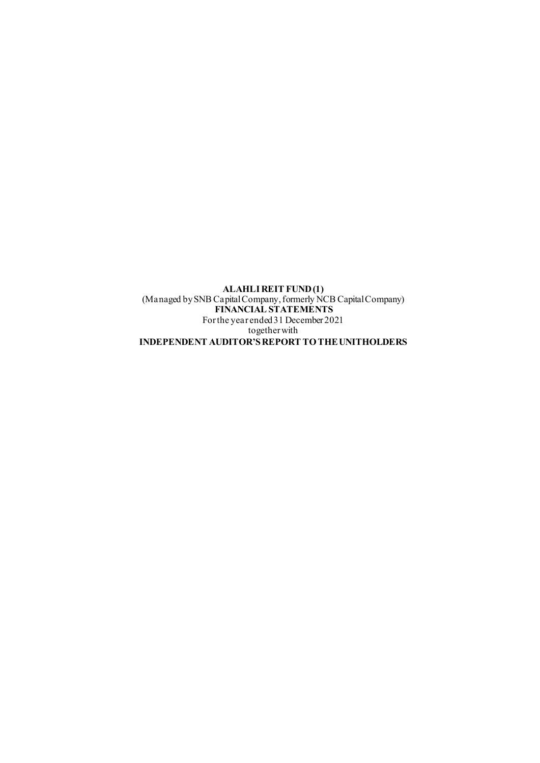**ALAHLI REIT FUND (1)** (Managed by SNB Capital Company, formerly NCB Capital Company) **FINANCIAL STATEMENTS**  For the year ended 31 December 2021 together with **INDEPENDENT AUDITOR'S REPORT TO THE UNITHOLDERS**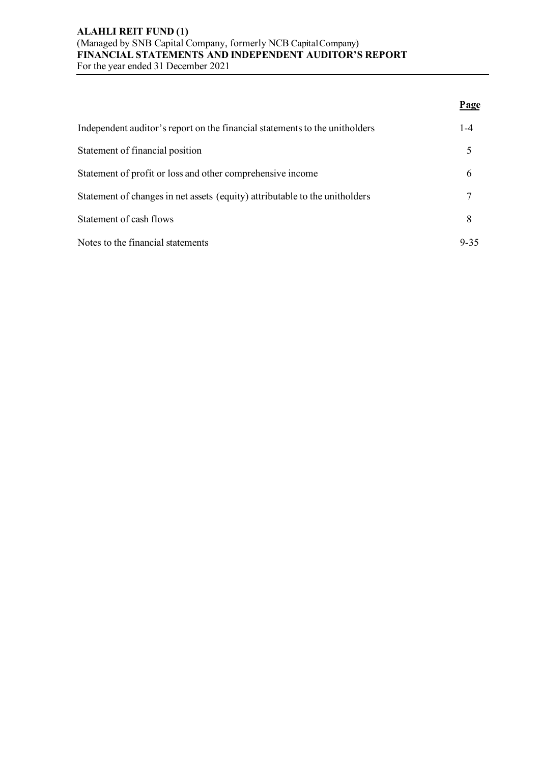# **ALAHLI REIT FUND (1)** (Managed by SNB Capital Company, formerly NCB Capital Company) **FINANCIAL STATEMENTS AND INDEPENDENT AUDITOR'S REPORT** For the year ended 31 December 2021

|                                                                             | Page     |
|-----------------------------------------------------------------------------|----------|
| Independent auditor's report on the financial statements to the unitholders | $1 - 4$  |
| Statement of financial position                                             |          |
| Statement of profit or loss and other comprehensive income                  | 6        |
| Statement of changes in net assets (equity) attributable to the unitholders |          |
| Statement of cash flows                                                     | 8        |
| Notes to the financial statements                                           | $9 - 35$ |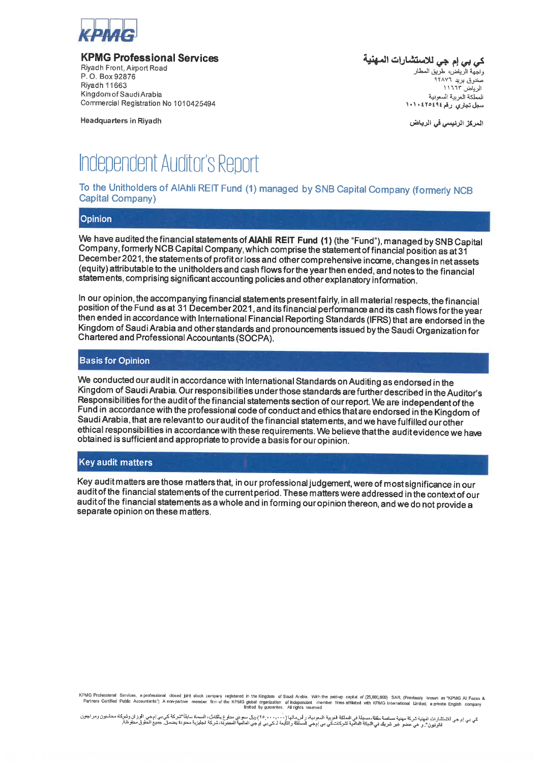

**KPMG Professional Services** 

Rivadh Front, Aimort Road P.O. Box 92876 **Rivadh 11663** Kingdom of Saudi Arabia Commercial Registration No 1010425494

**Headquarters in Rivadh** 

ك*ي بي* إم جي للاستشارات ال*م*هنية واجِّهة الرَّباض، طرَّبتي المطار صندوق برید ۹۲۸۷۲ الرياض ١١٦٦٣ المملكة العربية السعونية سجل تجاري رقم ٤٢٥٤٩٤ ١٠١٠

المركز الرئيسي في الرياض

# **Independent Auditor's Report**

To the Unitholders of AIAhli REIT Fund (1) managed by SNB Capital Company (formerly NCB Capital Company)

#### Opinion

We have audited the financial statements of AIAhli REIT Fund (1) (the "Fund"), managed by SNB Capital Company, formerly NCB Capital Company, which comprise the statement of financial position as at 31 December 2021, the statements of profit or loss and other comprehensive income, changes in net assets (equity) attributable to the unitholders and cash flows for the year then ended, and notes to the financial statements, comprising significant accounting policies and other explanatory information.

In our opinion, the accompanying financial statements present fairly, in all material respects, the financial position of the Fund as at 31 December 2021, and its financial performance and its cash flows for the year then ended in accordance with International Financial Reporting Standards (IFRS) that are endorsed in the Kingdom of Saudi Arabia and other standards and pronouncements issued by the Saudi Organization for Chartered and Professional Accountants (SOCPA).

#### **Basis for Opinion**

We conducted our audit in accordance with International Standards on Auditing as endorsed in the Kingdom of Saudi Arabia. Our responsibilities under those standards are further described in the Auditor's Responsibilities for the audit of the financial statements section of our report. We are independent of the Fund in accordance with the professional code of conduct and ethics that are endorsed in the Kingdom of Saudi Arabia. that are relevant to our audit of the financial statements, and we have fulfilled our other ethical responsibilities in accordance with these requirements. We believe that the audit evidence we have obtained is sufficient and appropriate to provide a basis for our opinion.

#### **Key audit matters**

Key audit matters are those matters that, in our professional judgement, were of most significance in our audit of the financial statements of the current period. These matters were addressed in the context of our audit of the financial statements as a whole and in forming our opinion thereon, and we do not provide a separate opinion on these matters.

KPMG Professional Services, a professional closed joint stock company registered in the Kingdom of Saudi Arabia. With the paid-up capital of (25,000,000) SAR (Previously known as "KPMG AI Fozan &<br>Partners Certified Public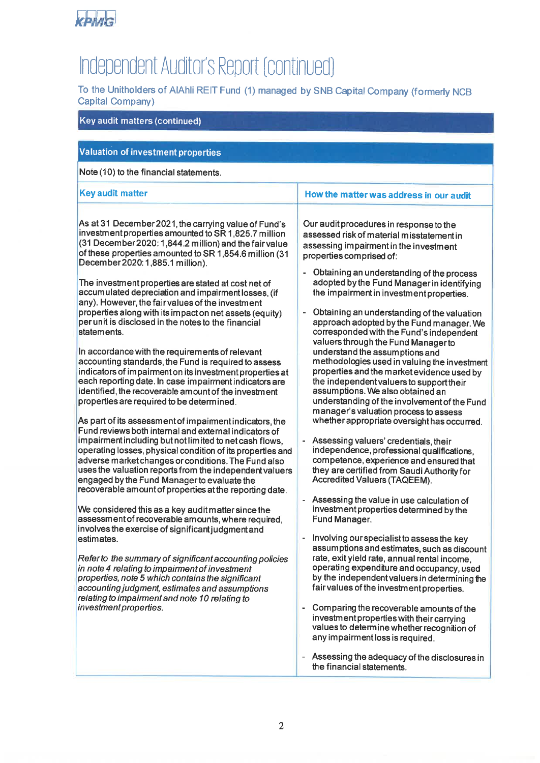

# Independent Auditor's Report (continued)

To the Unitholders of AIAhli REIT Fund (1) managed by SNB Capital Company (formerly NCB Capital Company)

# Key audit matters (continued) **Valuation of investment properties** Note (10) to the financial statements. **Key audit matter** How the matter was address in our audit As at 31 December 2021, the carrying value of Fund's investment properties amounted to SR 1,825.7 million (31 December 2020: 1,844.2 million) and the fair value of these properties amounted to SR 1,854.6 million (31) December 2020: 1.885.1 million).  $\mathbf{r}$ The investment properties are stated at cost net of accumulated depreciation and impairment losses. (if any). However, the fair values of the investment properties along with its impact on net assets (equity)  $\mathbf{r}$ per unit is disclosed in the notes to the financial statements In accordance with the requirements of relevant accounting standards, the Fund is required to assess indicators of impairment on its investment properties at each reporting date. In case impairment indicators are identified, the recoverable amount of the investment properties are required to be determined. As part of its assessment of impaiment indicators, the Fund reviews both internal and external indicators of impairment including but not limited to net cash flows.  $\omega$  . operating losses, physical condition of its properties and adverse market changes or conditions. The Fund also uses the valuation reports from the independent valuers engaged by the Fund Manager to evaluate the recoverable amount of properties at the reporting date.

We considered this as a key audit matter since the assessment of recoverable amounts, where required, involves the exercise of significant judgment and estimates.

Refer to the summary of significant accounting policies in note 4 relating to impairment of investment properties, note 5 which contains the significant accounting judgment, estimates and assumptions relating to impairment and note 10 relating to investment properties.

Our audit procedures in response to the assessed risk of material misstatement in assessing impairment in the investment properties comprised of:

- Obtaining an understanding of the process adopted by the Fund Manager in identifying the impairment in investment properties.
- Obtaining an understanding of the valuation approach adopted by the Fund manager. We corresponded with the Fund's independent valuers through the Fund Manager to understand the assumptions and methodologies used in valuing the investment properties and the market evidence used by the independent valuers to support their assumptions. We also obtained an understanding of the involvement of the Fund manager's valuation process to assess whether appropriate oversight has occurred.
- Assessing valuers' credentials, their independence, professional qualifications. competence, experience and ensured that they are certified from Saudi Authority for Accredited Valuers (TAQEEM).
- Assessing the value in use calculation of investment properties determined by the Fund Manager.
- Involving our specialist to assess the key assumptions and estimates, such as discount rate, exit yield rate, annual rental income. operating expenditure and occupancy, used by the independent valuers in determining the fair values of the investment properties.
- $\overline{a}$ Comparing the recoverable amounts of the investment properties with their carrying values to determine whether recognition of any impairment loss is required.
- Assessing the adequacy of the disclosures in the financial statements.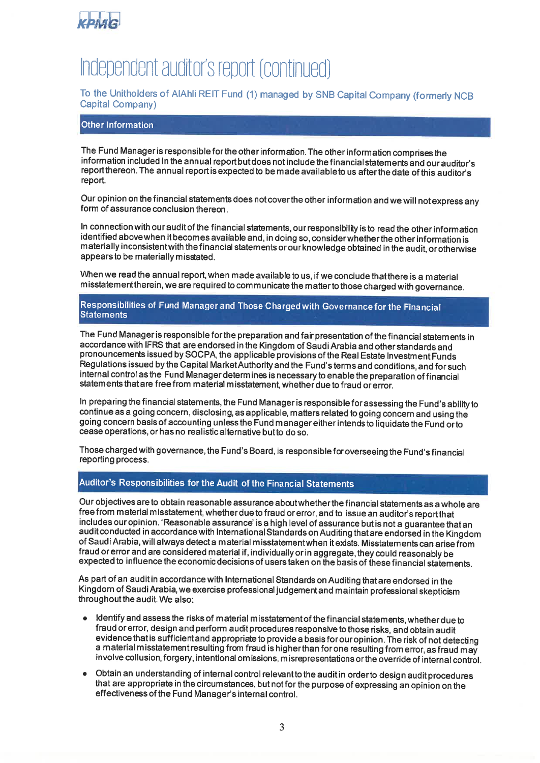

# Independent auditor's report (continued)

# To the Unitholders of AIAhli REIT Fund (1) managed by SNB Capital Company (formerly NCB Capital Company)

### **Other Information**

The Fund Manager is responsible for the other information. The other information comprises the information included in the annual report but does not include the financial statements and our auditor's report thereon. The annual report is expected to be made available to us after the date of this auditor's report.

Our opinion on the financial statements does not cover the other information and we will not express any form of assurance conclusion thereon.

In connection with our audit of the financial statements, our responsibility is to read the other information identified above when it becomes available and, in doing so, consider whether the other information is materially inconsistent with the financial statements or our knowledge obtained in the audit, or otherwise appears to be materially misstated.

When we read the annual report, when made available to us, if we conclude that there is a material misstatement therein, we are required to communicate the matter to those charged with governance.

#### Responsibilities of Fund Manager and Those Charged with Governance for the Financial **Statements**

The Fund Manager is responsible for the preparation and fair presentation of the financial statements in accordance with IFRS that are endorsed in the Kingdom of Saudi Arabia and other standards and pronouncements issued by SOCPA, the applicable provisions of the Real Estate Investment Funds Regulations issued by the Capital Market Authority and the Fund's terms and conditions, and for such internal control as the Fund Manager determines is necessary to enable the preparation of financial statements that are free from material misstatement, whether due to fraud or error.

In preparing the financial statements, the Fund Manager is responsible for assessing the Fund's ability to continue as a going concern, disclosing, as applicable, matters related to going concern and using the going concern basis of accounting unless the Fund manager either intends to liquidate the Fund or to cease operations, or has no realistic alternative but to do so.

Those charged with governance, the Fund's Board, is responsible for overseeing the Fund's financial reporting process.

# Auditor's Responsibilities for the Audit of the Financial Statements

Our objectives are to obtain reasonable assurance about whether the financial statements as a whole are free from material misstatement, whether due to fraud or error, and to issue an auditor's report that includes our opinion. 'Reasonable assurance' is a high level of assurance but is not a guarantee that an audit conducted in accordance with International Standards on Auditing that are endorsed in the Kingdom of Saudi Arabia, will always detect a material misstatement when it exists. Misstatements can arise from fraud or error and are considered material if, individually or in aggregate, they could reasonably be expected to influence the economic decisions of users taken on the basis of these financial statements.

As part of an audit in accordance with International Standards on Auditing that are endorsed in the Kingdom of Saudi Arabia, we exercise professional judgement and maintain professional skepticism throughout the audit. We also:

- Identify and assess the risks of material misstatement of the financial statements, whether due to fraud or error, design and perform audit procedures responsive to those risks, and obtain audit evidence that is sufficient and appropriate to provide a basis for our opinion. The risk of not detecting a material misstatement resulting from fraud is higher than for one resulting from error, as fraud may involve collusion, forgery, intentional omissions, misrepresentations or the override of internal control.
- Obtain an understanding of internal control relevant to the audit in order to design audit procedures that are appropriate in the circumstances, but not for the purpose of expressing an opinion on the effectiveness of the Fund Manager's internal control.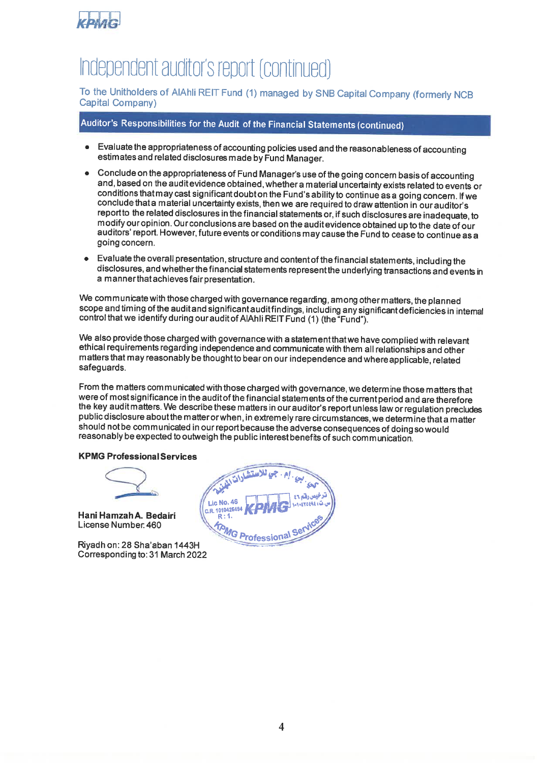

# Independent auditor's report (continued)

To the Unitholders of AIAhli REIT Fund (1) managed by SNB Capital Company (formerly NCB Capital Company)

# Auditor's Responsibilities for the Audit of the Financial Statements (continued)

- Evaluate the appropriateness of accounting policies used and the reasonableness of accounting estimates and related disclosures made by Fund Manager.
- Conclude on the appropriateness of Fund Manager's use of the going concern basis of accounting and, based on the auditevidence obtained, whether a material uncertainty exists related to events or conditions that may cast significant doubt on the Fund's ability to continue as a going concern. If we conclude that a material uncertainty exists, then we are required to draw attention in our auditor's report to the related disclosures in the financial statements or, if such disclosures are inadequate, to modify our opinion. Our conclusions are based on the audit evidence obtained up to the date of our auditors' report. However, future events or conditions may cause the Fund to cease to continue as a going concern.
- Evaluate the overall presentation, structure and content of the financial statements, including the  $\blacksquare$ disclosures, and whether the financial statements represent the underlying transactions and events in a manner that achieves fair presentation.

We communicate with those charged with governance regarding, among other matters, the planned scope and timing of the audit and significant audit findings, including any significant deficiencies in internal control that we identify during our audit of AlAhli REIT Fund (1) (the "Fund").

We also provide those charged with governance with a statement that we have complied with relevant ethical requirements regarding independence and communicate with them all relationships and other matters that may reasonably be thought to bear on our independence and where applicable, related safeguards.

From the matters communicated with those charged with governance, we determine those matters that were of most significance in the audit of the financial statements of the current period and are therefore the key audit matters. We describe these matters in our auditor's report unless law or regulation precludes public disclosure about the matter or when, in extremely rare circumstances, we determine that a matter should not be communicated in our report because the adverse consequences of doing so would reasonably be expected to outweigh the public interest benefits of such communication.

#### **KPMG Professional Services**

Hani Hamzah A. Bedairi License Number 460

Rivadh on: 28 Sha'aban 1443H Corresponding to: 31 March 2022

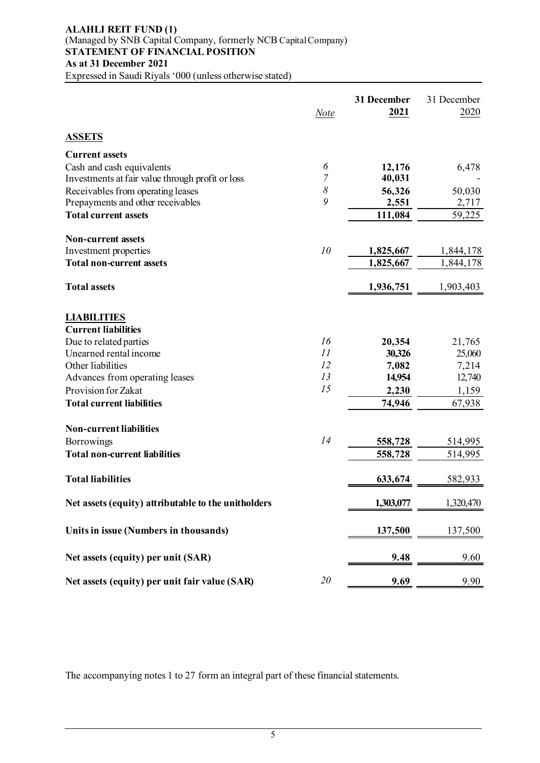# **ALAHLI REIT FUND (1)** (Managed by SNB Capital Company, formerly NCB Capital Company) **STATEMENT OF FINANCIAL POSITION As at 31 December 2021**

Expressed in Saudi Riyals '000 (unless otherwise stated)

|                                                     | <b>Note</b> | 31 December<br>2021 | 31 December<br>2020 |
|-----------------------------------------------------|-------------|---------------------|---------------------|
| <b>ASSETS</b>                                       |             |                     |                     |
| <b>Current assets</b>                               |             |                     |                     |
| Cash and cash equivalents                           | 6           | 12,176              | 6,478               |
| Investments at fair value through profit or loss    | 7           | 40,031              |                     |
| Receivables from operating leases                   | $\delta$    | 56,326              | 50,030              |
| Prepayments and other receivables                   | 9           | 2,551               | 2,717               |
| <b>Total current assets</b>                         |             | 111,084             | 59,225              |
| <b>Non-current assets</b>                           |             |                     |                     |
| Investment properties                               | 10          | 1,825,667           | 1,844,178           |
| <b>Total non-current assets</b>                     |             | 1,825,667           | 1,844,178           |
| <b>Total assets</b>                                 |             | 1,936,751           | 1,903,403           |
| <b>LIABILITIES</b>                                  |             |                     |                     |
| <b>Current liabilities</b>                          |             |                     |                     |
| Due to related parties                              | 16          | 20,354              | 21,765              |
| Unearned rental income                              | 11          | 30,326              | 25,060              |
| Other liabilities                                   | 12          | 7,082               | 7,214               |
| Advances from operating leases                      | 13          | 14,954              | 12,740              |
| Provision for Zakat                                 | 15          | 2,230               | 1,159               |
| <b>Total current liabilities</b>                    |             | 74,946              | 67,938              |
| <b>Non-current liabilities</b>                      |             |                     |                     |
| Borrowings                                          | 14          | 558,728             | 514,995             |
| <b>Total non-current liabilities</b>                |             | 558,728             | 514,995             |
| <b>Total liabilities</b>                            |             | 633,674             | 582,933             |
| Net assets (equity) attributable to the unitholders |             | 1,303,077           | 1,320,470           |
| Units in issue (Numbers in thousands)               |             | 137,500             | 137,500             |
| Net assets (equity) per unit (SAR)                  |             | 9.48                | 9.60                |
| Net assets (equity) per unit fair value (SAR)       | 20          | 9.69                | 9.90                |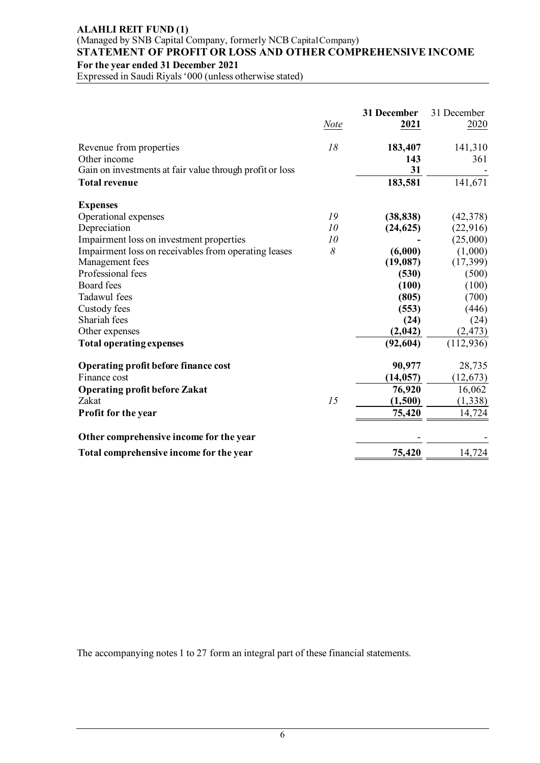# **ALAHLI REIT FUND (1)** (Managed by SNB Capital Company, formerly NCB Capital Company) **STATEMENT OF PROFIT OR LOSS AND OTHER COMPREHENSIVE INCOME For the year ended 31 December 2021**

Expressed in Saudi Riyals '000 (unless otherwise stated)

|                                                          | <b>Note</b> | 31 December<br>2021 | 31 December<br>2020 |
|----------------------------------------------------------|-------------|---------------------|---------------------|
| Revenue from properties                                  | 18          | 183,407             | 141,310             |
| Other income                                             |             | 143                 | 361                 |
| Gain on investments at fair value through profit or loss |             | 31                  |                     |
| <b>Total revenue</b>                                     |             | 183,581             | 141,671             |
| <b>Expenses</b>                                          |             |                     |                     |
| Operational expenses                                     | 19          | (38, 838)           | (42, 378)           |
| Depreciation                                             | 10          | (24, 625)           | (22, 916)           |
| Impairment loss on investment properties                 | 10          |                     | (25,000)            |
| Impairment loss on receivables from operating leases     | 8           | (6,000)             | (1,000)             |
| Management fees                                          |             | (19,087)            | (17, 399)           |
| Professional fees                                        |             | (530)               | (500)               |
| <b>Board</b> fees                                        |             | (100)               | (100)               |
| Tadawul fees                                             |             | (805)               | (700)               |
| Custody fees                                             |             | (553)               | (446)               |
| Shariah fees                                             |             | (24)                | (24)                |
| Other expenses                                           |             | (2,042)             | (2, 473)            |
| <b>Total operating expenses</b>                          |             | (92, 604)           | (112, 936)          |
| Operating profit before finance cost                     |             | 90,977              | 28,735              |
| Finance cost                                             |             | (14, 057)           | (12, 673)           |
| <b>Operating profit before Zakat</b>                     |             | 76,920              | 16,062              |
| Zakat                                                    | 15          | (1,500)             | (1, 338)            |
| Profit for the year                                      |             | 75,420              | 14,724              |
| Other comprehensive income for the year                  |             |                     |                     |
| Total comprehensive income for the year                  |             | 75,420              | 14,724              |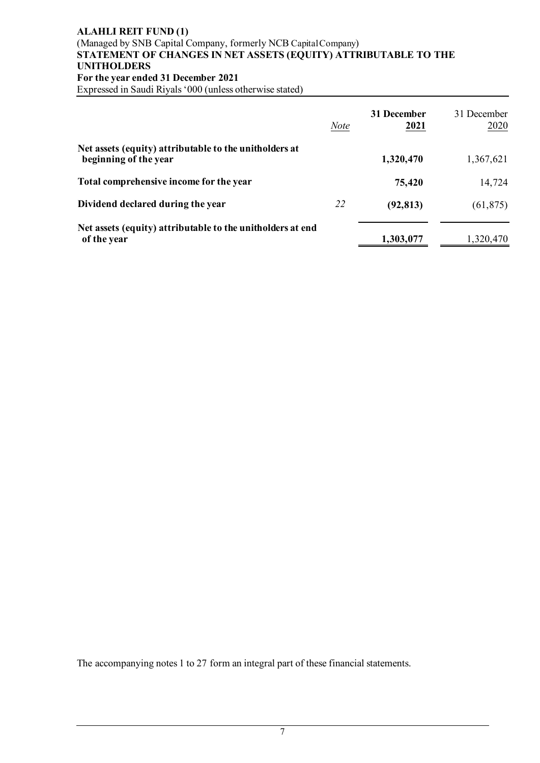# **ALAHLI REIT FUND (1)** (Managed by SNB Capital Company, formerly NCB Capital Company) **STATEMENT OF CHANGES IN NET ASSETS (EQUITY) ATTRIBUTABLE TO THE UNITHOLDERS For the year ended 31 December 2021**

Expressed in Saudi Riyals '000 (unless otherwise stated)

|                                                                                 | <b>Note</b> | 31 December<br>2021 | 31 December<br>2020 |
|---------------------------------------------------------------------------------|-------------|---------------------|---------------------|
| Net assets (equity) attributable to the unitholders at<br>beginning of the year |             | 1,320,470           | 1,367,621           |
| Total comprehensive income for the year                                         |             | 75,420              | 14,724              |
| Dividend declared during the year                                               | 22          | (92, 813)           | (61, 875)           |
| Net assets (equity) attributable to the unitholders at end<br>of the year       |             | 1,303,077           | 1,320,470           |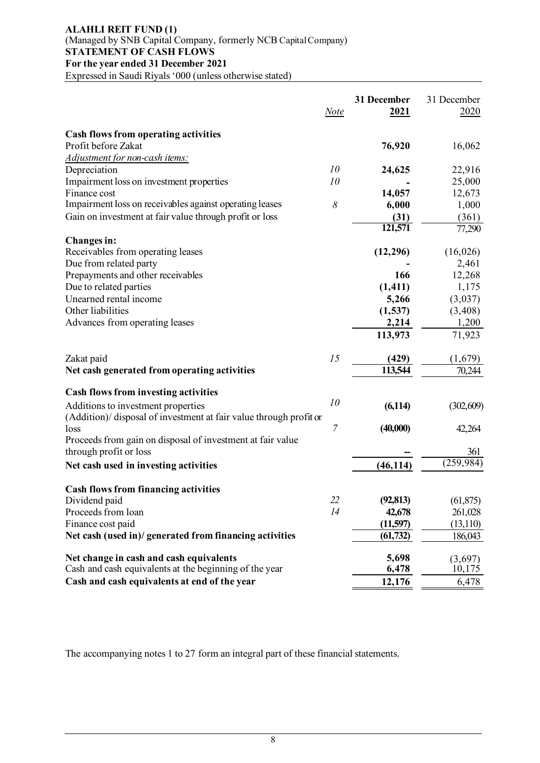# **ALAHLI REIT FUND (1)** (Managed by SNB Capital Company, formerly NCB Capital Company) **STATEMENT OF CASH FLOWS For the year ended 31 December 2021**

Expressed in Saudi Riyals '000 (unless otherwise stated)

|                                                                    | <b>Note</b> | 31 December<br>2021 | 31 December<br>2020 |
|--------------------------------------------------------------------|-------------|---------------------|---------------------|
| <b>Cash flows from operating activities</b>                        |             |                     |                     |
| Profit before Zakat                                                |             | 76,920              | 16,062              |
| Adjustment for non-cash items:                                     |             |                     |                     |
| Depreciation                                                       | 10          | 24,625              | 22,916              |
| Impairment loss on investment properties                           | 10          |                     | 25,000              |
| Finance cost                                                       |             | 14,057              | 12,673              |
| Impairment loss on receivables against operating leases            | $\delta$    | 6,000               | 1,000               |
| Gain on investment at fair value through profit or loss            |             | (31)                | (361)               |
|                                                                    |             | 121,571             | 77,290              |
| <b>Changes</b> in:                                                 |             |                     |                     |
| Receivables from operating leases                                  |             | (12, 296)           | (16,026)            |
| Due from related party                                             |             |                     | 2,461               |
| Prepayments and other receivables                                  |             | 166                 | 12,268              |
| Due to related parties                                             |             | (1, 411)            | 1,175               |
| Unearned rental income                                             |             | 5,266               | (3,037)             |
| Other liabilities                                                  |             | (1, 537)            | (3,408)             |
| Advances from operating leases                                     |             | 2,214               | 1,200               |
|                                                                    |             | 113,973             | 71,923              |
| Zakat paid                                                         | 15          | (429)               | (1,679)             |
| Net cash generated from operating activities                       |             | 113,544             | 70,244              |
| <b>Cash flows from investing activities</b>                        |             |                     |                     |
| Additions to investment properties                                 | 10          | (6, 114)            | (302, 609)          |
| (Addition)/ disposal of investment at fair value through profit or |             |                     |                     |
| loss                                                               | 7           | (40,000)            | 42,264              |
| Proceeds from gain on disposal of investment at fair value         |             |                     |                     |
| through profit or loss                                             |             |                     | 361                 |
| Net cash used in investing activities                              |             | (46, 114)           | (259, 984)          |
| <b>Cash flows from financing activities</b>                        |             |                     |                     |
| Dividend paid                                                      | 22          | (92, 813)           | (61, 875)           |
| Proceeds from loan                                                 | 14          | 42,678              | 261,028             |
| Finance cost paid                                                  |             | (11,597)            | (13, 110)           |
| Net cash (used in)/ generated from financing activities            |             | (61, 732)           | 186,043             |
| Net change in cash and cash equivalents                            |             | 5,698               | (3,697)             |
| Cash and cash equivalents at the beginning of the year             |             | 6,478               | 10,175              |
| Cash and cash equivalents at end of the year                       |             | 12,176              | 6,478               |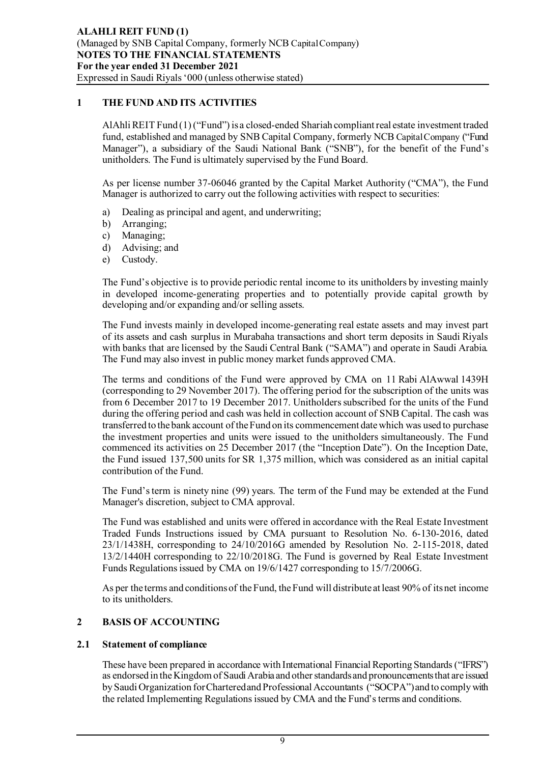# **1 THE FUND AND ITS ACTIVITIES**

AlAhli REIT Fund (1) ("Fund") is a closed-ended Shariah compliant real estate investment traded fund, established and managed by SNB Capital Company, formerly NCB Capital Company ("Fund Manager"), a subsidiary of the Saudi National Bank ("SNB"), for the benefit of the Fund's unitholders. The Fund is ultimately supervised by the Fund Board.

As per license number 37-06046 granted by the Capital Market Authority ("CMA"), the Fund Manager is authorized to carry out the following activities with respect to securities:

- a) Dealing as principal and agent, and underwriting;
- b) Arranging;
- c) Managing;
- d) Advising; and
- e) Custody.

The Fund's objective is to provide periodic rental income to its unitholders by investing mainly in developed income-generating properties and to potentially provide capital growth by developing and/or expanding and/or selling assets.

The Fund invests mainly in developed income-generating real estate assets and may invest part of its assets and cash surplus in Murabaha transactions and short term deposits in Saudi Riyals with banks that are licensed by the Saudi Central Bank ("SAMA") and operate in Saudi Arabia. The Fund may also invest in public money market funds approved CMA.

The terms and conditions of the Fund were approved by CMA on 11 Rabi AlAwwal 1439H (corresponding to 29 November 2017). The offering period for the subscription of the units was from 6 December 2017 to 19 December 2017. Unitholders subscribed for the units of the Fund during the offering period and cash was held in collection account of SNB Capital. The cash was transferred to the bank account of the Fund on its commencement date which was used to purchase the investment properties and units were issued to the unitholders simultaneously. The Fund commenced its activities on 25 December 2017 (the "Inception Date"). On the Inception Date, the Fund issued 137,500 units for SR 1,375 million, which was considered as an initial capital contribution of the Fund.

The Fund's term is ninety nine (99) years. The term of the Fund may be extended at the Fund Manager's discretion, subject to CMA approval.

The Fund was established and units were offered in accordance with the Real Estate Investment Traded Funds Instructions issued by CMA pursuant to Resolution No. 6-130-2016, dated 23/1/1438H, corresponding to 24/10/2016G amended by Resolution No. 2-115-2018, dated 13/2/1440H corresponding to 22/10/2018G. The Fund is governed by Real Estate Investment Funds Regulations issued by CMA on 19/6/1427 corresponding to 15/7/2006G.

As per the terms and conditions of the Fund, the Fund will distribute at least 90% of its net income to its unitholders.

# **2 BASIS OF ACCOUNTING**

# **2.1 Statement of compliance**

These have been prepared in accordance with International Financial Reporting Standards ("IFRS") as endorsed in the Kingdom of Saudi Arabia and other standards and pronouncements that are issued by Saudi Organization for Chartered and Professional Accountants ("SOCPA") and to comply with the related Implementing Regulations issued by CMA and the Fund's terms and conditions.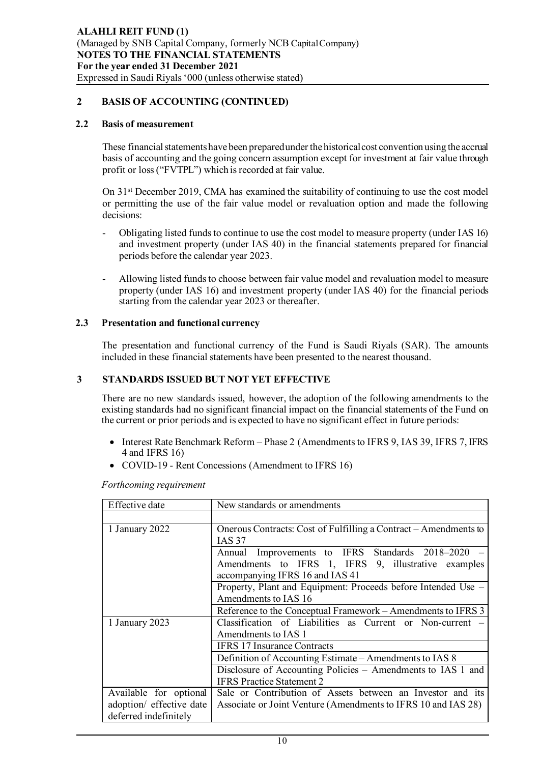# **2 BASIS OF ACCOUNTING (CONTINUED)**

### **2.2 Basis of measurement**

These financial statements have been prepared under the historical cost convention using the accrual basis of accounting and the going concern assumption except for investment at fair value through profit or loss ("FVTPL") which is recorded at fair value.

On 31st December 2019, CMA has examined the suitability of continuing to use the cost model or permitting the use of the fair value model or revaluation option and made the following decisions:

- Obligating listed funds to continue to use the cost model to measure property (under IAS 16) and investment property (under IAS 40) in the financial statements prepared for financial periods before the calendar year 2023.
- Allowing listed funds to choose between fair value model and revaluation model to measure property (under IAS 16) and investment property (under IAS 40) for the financial periods starting from the calendar year 2023 or thereafter.

### **2.3 Presentation and functional currency**

The presentation and functional currency of the Fund is Saudi Riyals (SAR). The amounts included in these financial statements have been presented to the nearest thousand.

# **3 STANDARDS ISSUED BUT NOT YET EFFECTIVE**

There are no new standards issued, however, the adoption of the following amendments to the existing standards had no significant financial impact on the financial statements of the Fund on the current or prior periods and is expected to have no significant effect in future periods:

- Interest Rate Benchmark Reform Phase 2 (Amendments to IFRS 9, IAS 39, IFRS 7, IFRS 4 and IFRS 16)
- COVID-19 Rent Concessions (Amendment to IFRS 16)

*Forthcoming requirement*

| Effective date           | New standards or amendments                                      |  |  |  |
|--------------------------|------------------------------------------------------------------|--|--|--|
|                          |                                                                  |  |  |  |
| 1 January 2022           | Onerous Contracts: Cost of Fulfilling a Contract – Amendments to |  |  |  |
|                          | <b>IAS 37</b>                                                    |  |  |  |
|                          | Annual Improvements to IFRS Standards 2018–2020                  |  |  |  |
|                          | Amendments to IFRS 1, IFRS 9, illustrative examples              |  |  |  |
|                          | accompanying IFRS 16 and IAS 41                                  |  |  |  |
|                          | Property, Plant and Equipment: Proceeds before Intended Use -    |  |  |  |
|                          | Amendments to IAS 16                                             |  |  |  |
|                          | Reference to the Conceptual Framework – Amendments to IFRS 3     |  |  |  |
| 1 January 2023           | Classification of Liabilities as Current or Non-current –        |  |  |  |
|                          | Amendments to IAS 1                                              |  |  |  |
|                          | <b>IFRS 17 Insurance Contracts</b>                               |  |  |  |
|                          | Definition of Accounting Estimate – Amendments to IAS 8          |  |  |  |
|                          | Disclosure of Accounting Policies – Amendments to IAS 1 and      |  |  |  |
|                          | <b>IFRS</b> Practice Statement 2                                 |  |  |  |
| Available for optional   | Sale or Contribution of Assets between an Investor and its       |  |  |  |
| adoption/ effective date | Associate or Joint Venture (Amendments to IFRS 10 and IAS 28)    |  |  |  |
| deferred indefinitely    |                                                                  |  |  |  |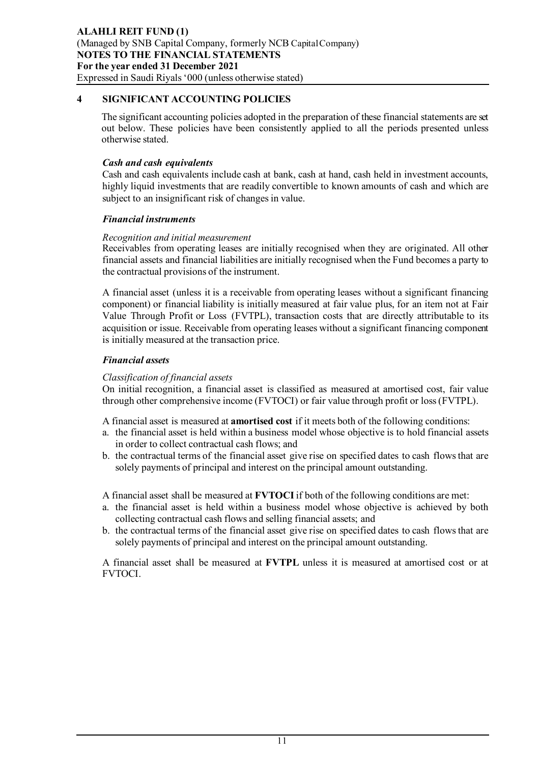# **4 SIGNIFICANT ACCOUNTING POLICIES**

The significant accounting policies adopted in the preparation of these financial statements are set out below. These policies have been consistently applied to all the periods presented unless otherwise stated.

# *Cash and cash equivalents*

Cash and cash equivalents include cash at bank, cash at hand, cash held in investment accounts, highly liquid investments that are readily convertible to known amounts of cash and which are subject to an insignificant risk of changes in value.

# *Financial instruments*

# *Recognition and initial measurement*

Receivables from operating leases are initially recognised when they are originated. All other financial assets and financial liabilities are initially recognised when the Fund becomes a party to the contractual provisions of the instrument.

A financial asset (unless it is a receivable from operating leases without a significant financing component) or financial liability is initially measured at fair value plus, for an item not at Fair Value Through Profit or Loss (FVTPL), transaction costs that are directly attributable to its acquisition or issue. Receivable from operating leases without a significant financing component is initially measured at the transaction price.

# *Financial assets*

# *Classification of financial assets*

On initial recognition, a financial asset is classified as measured at amortised cost, fair value through other comprehensive income (FVTOCI) or fair value through profit or loss (FVTPL).

A financial asset is measured at **amortised cost** if it meets both of the following conditions:

- a. the financial asset is held within a business model whose objective is to hold financial assets in order to collect contractual cash flows; and
- b. the contractual terms of the financial asset give rise on specified dates to cash flows that are solely payments of principal and interest on the principal amount outstanding.

A financial asset shall be measured at **FVTOCI**if both of the following conditions are met:

- a. the financial asset is held within a business model whose objective is achieved by both collecting contractual cash flows and selling financial assets; and
- b. the contractual terms of the financial asset give rise on specified dates to cash flows that are solely payments of principal and interest on the principal amount outstanding.

A financial asset shall be measured at **FVTPL** unless it is measured at amortised cost or at FVTOCI.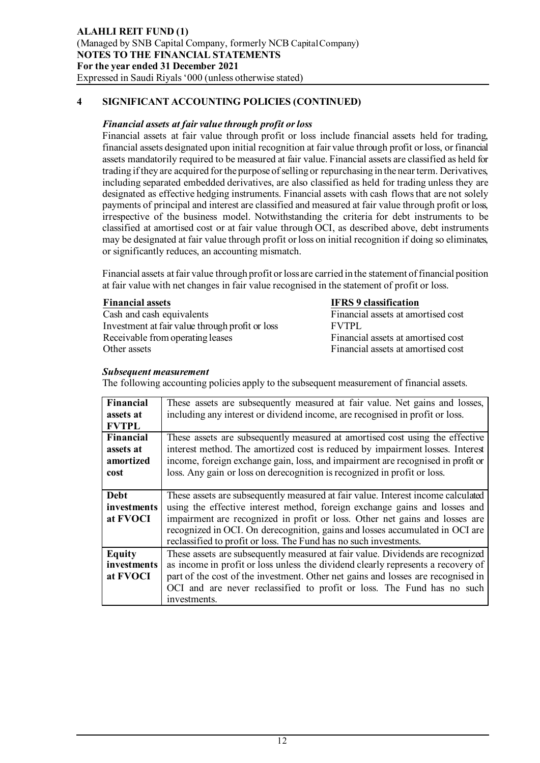### *Financial assets at fair value through profit or loss*

Financial assets at fair value through profit or loss include financial assets held for trading, financial assets designated upon initial recognition at fair value through profit or loss, or financial assets mandatorily required to be measured at fair value. Financial assets are classified as held for trading if they are acquired for the purpose of selling or repurchasing in the near term. Derivatives, including separated embedded derivatives, are also classified as held for trading unless they are designated as effective hedging instruments. Financial assets with cash flows that are not solely payments of principal and interest are classified and measured at fair value through profit or loss, irrespective of the business model. Notwithstanding the criteria for debt instruments to be classified at amortised cost or at fair value through OCI, as described above, debt instruments may be designated at fair value through profit or loss on initial recognition if doing so eliminates, or significantly reduces, an accounting mismatch.

Financial assets at fair value through profit or loss are carried in the statement of financial position at fair value with net changes in fair value recognised in the statement of profit or loss.

**Financial assets**<br> **FINS 9 classification**<br> **Financial assets at amount of the Second Equivalents** Investment at fair value through profit or loss FVTPL Receivable from operating leases Financial assets at amortised cost Other assets Financial assets at amortised cost

Financial assets at amortised cost

#### *Subsequent measurement*

The following accounting policies apply to the subsequent measurement of financial assets.

| Financial          | These assets are subsequently measured at fair value. Net gains and losses,      |
|--------------------|----------------------------------------------------------------------------------|
| assets at          | including any interest or dividend income, are recognised in profit or loss.     |
| <b>FVTPL</b>       |                                                                                  |
| <b>Financial</b>   | These assets are subsequently measured at amortised cost using the effective     |
| assets at          | interest method. The amortized cost is reduced by impairment losses. Interest    |
| amortized          | income, foreign exchange gain, loss, and impairment are recognised in profit or  |
| cost               | loss. Any gain or loss on derecognition is recognized in profit or loss.         |
|                    |                                                                                  |
| Debt               | These assets are subsequently measured at fair value. Interest income calculated |
| <i>investments</i> | using the effective interest method, foreign exchange gains and losses and       |
| at FVOCI           | impairment are recognized in profit or loss. Other net gains and losses are      |
|                    | recognized in OCI. On derecognition, gains and losses accumulated in OCI are     |
|                    | reclassified to profit or loss. The Fund has no such investments.                |
| <b>Equity</b>      | These assets are subsequently measured at fair value. Dividends are recognized   |
| <i>investments</i> | as income in profit or loss unless the dividend clearly represents a recovery of |
| at FVOCI           | part of the cost of the investment. Other net gains and losses are recognised in |
|                    | OCI and are never reclassified to profit or loss. The Fund has no such           |
|                    | investments.                                                                     |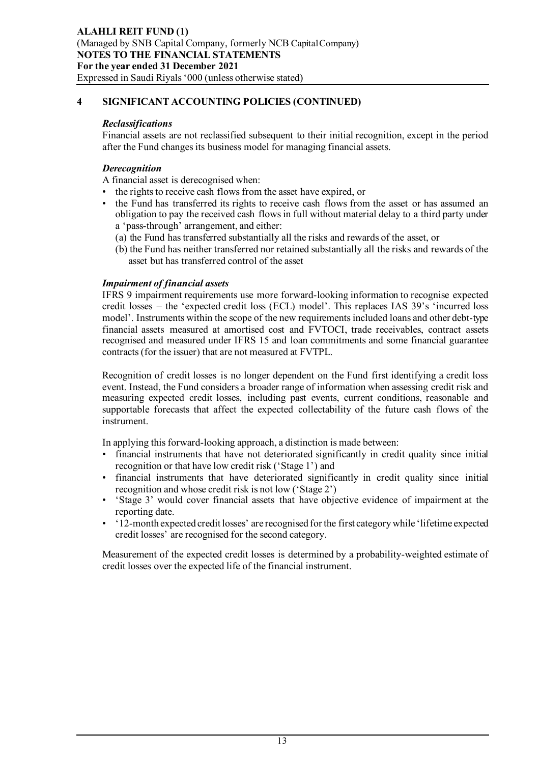### *Reclassifications*

Financial assets are not reclassified subsequent to their initial recognition, except in the period after the Fund changes its business model for managing financial assets.

# *Derecognition*

A financial asset is derecognised when:

- the rights to receive cash flows from the asset have expired, or
- the Fund has transferred its rights to receive cash flows from the asset or has assumed an obligation to pay the received cash flows in full without material delay to a third party under a 'pass-through' arrangement, and either:
	- (a) the Fund has transferred substantially all the risks and rewards of the asset, or
	- (b) the Fund has neither transferred nor retained substantially all the risks and rewards of the asset but has transferred control of the asset

### *Impairment of financial assets*

IFRS 9 impairment requirements use more forward-looking information to recognise expected credit losses – the 'expected credit loss (ECL) model'. This replaces IAS 39's 'incurred loss model'. Instruments within the scope of the new requirements included loans and other debt-type financial assets measured at amortised cost and FVTOCI, trade receivables, contract assets recognised and measured under IFRS 15 and loan commitments and some financial guarantee contracts (for the issuer) that are not measured at FVTPL.

Recognition of credit losses is no longer dependent on the Fund first identifying a credit loss event. Instead, the Fund considers a broader range of information when assessing credit risk and measuring expected credit losses, including past events, current conditions, reasonable and supportable forecasts that affect the expected collectability of the future cash flows of the instrument.

In applying this forward-looking approach, a distinction is made between:

- financial instruments that have not deteriorated significantly in credit quality since initial recognition or that have low credit risk ('Stage 1') and
- financial instruments that have deteriorated significantly in credit quality since initial recognition and whose credit risk is not low ('Stage 2')
- 'Stage 3' would cover financial assets that have objective evidence of impairment at the reporting date.
- '12-month expected credit losses' are recognised for the first category while 'lifetime expected credit losses' are recognised for the second category.

Measurement of the expected credit losses is determined by a probability-weighted estimate of credit losses over the expected life of the financial instrument.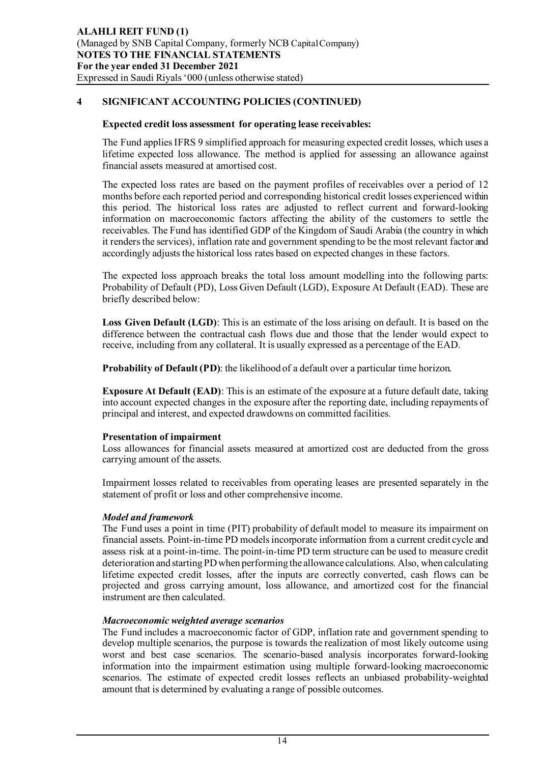#### **Expected credit loss assessment for operating lease receivables:**

The Fund applies IFRS 9 simplified approach for measuring expected credit losses, which uses a lifetime expected loss allowance. The method is applied for assessing an allowance against financial assets measured at amortised cost.

The expected loss rates are based on the payment profiles of receivables over a period of 12 months before each reported period and corresponding historical credit losses experienced within this period. The historical loss rates are adjusted to reflect current and forward-looking information on macroeconomic factors affecting the ability of the customers to settle the receivables. The Fund has identified GDP of the Kingdom of Saudi Arabia (the country in which it renders the services), inflation rate and government spending to be the most relevant factor and accordingly adjusts the historical loss rates based on expected changes in these factors.

The expected loss approach breaks the total loss amount modelling into the following parts: Probability of Default (PD), Loss Given Default (LGD), Exposure At Default (EAD). These are briefly described below:

**Loss Given Default (LGD)**: This is an estimate of the loss arising on default. It is based on the difference between the contractual cash flows due and those that the lender would expect to receive, including from any collateral. It is usually expressed as a percentage of the EAD.

**Probability of Default (PD)**: the likelihood of a default over a particular time horizon.

**Exposure At Default (EAD)**: This is an estimate of the exposure at a future default date, taking into account expected changes in the exposure after the reporting date, including repayments of principal and interest, and expected drawdowns on committed facilities.

#### **Presentation of impairment**

Loss allowances for financial assets measured at amortized cost are deducted from the gross carrying amount of the assets.

Impairment losses related to receivables from operating leases are presented separately in the statement of profit or loss and other comprehensive income.

# *Model and framework*

The Fund uses a point in time (PIT) probability of default model to measure its impairment on financial assets. Point-in-time PD models incorporate information from a current credit cycle and assess risk at a point-in-time. The point-in-time PD term structure can be used to measure credit deterioration and starting PD when performing the allowance calculations. Also, when calculating lifetime expected credit losses, after the inputs are correctly converted, cash flows can be projected and gross carrying amount, loss allowance, and amortized cost for the financial instrument are then calculated.

# *Macroeconomic weighted average scenarios*

The Fund includes a macroeconomic factor of GDP, inflation rate and government spending to develop multiple scenarios, the purpose is towards the realization of most likely outcome using worst and best case scenarios. The scenario-based analysis incorporates forward-looking information into the impairment estimation using multiple forward-looking macroeconomic scenarios. The estimate of expected credit losses reflects an unbiased probability-weighted amount that is determined by evaluating a range of possible outcomes.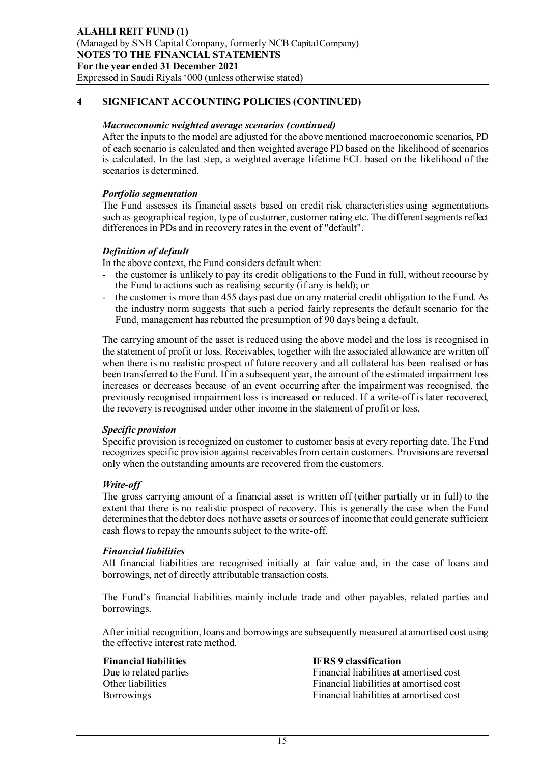#### *Macroeconomic weighted average scenarios (continued)*

After the inputs to the model are adjusted for the above mentioned macroeconomic scenarios, PD of each scenario is calculated and then weighted average PD based on the likelihood of scenarios is calculated. In the last step, a weighted average lifetime ECL based on the likelihood of the scenarios is determined.

### *Portfolio segmentation*

The Fund assesses its financial assets based on credit risk characteristics using segmentations such as geographical region, type of customer, customer rating etc. The different segments reflect differences in PDs and in recovery rates in the event of "default".

### *Definition of default*

In the above context, the Fund considers default when:

- the customer is unlikely to pay its credit obligations to the Fund in full, without recourse by the Fund to actions such as realising security (if any is held); or
- the customer is more than 455 days past due on any material credit obligation to the Fund. As the industry norm suggests that such a period fairly represents the default scenario for the Fund, management has rebutted the presumption of 90 days being a default.

The carrying amount of the asset is reduced using the above model and the loss is recognised in the statement of profit or loss. Receivables, together with the associated allowance are written off when there is no realistic prospect of future recovery and all collateral has been realised or has been transferred to the Fund. If in a subsequent year, the amount of the estimated impairment loss increases or decreases because of an event occurring after the impairment was recognised, the previously recognised impairment loss is increased or reduced. If a write-off is later recovered, the recovery is recognised under other income in the statement of profit or loss.

#### *Specific provision*

Specific provision is recognized on customer to customer basis at every reporting date. The Fund recognizes specific provision against receivables from certain customers. Provisions are reversed only when the outstanding amounts are recovered from the customers.

#### *Write-off*

The gross carrying amount of a financial asset is written off (either partially or in full) to the extent that there is no realistic prospect of recovery. This is generally the case when the Fund determines that the debtor does not have assets or sources of income that could generate sufficient cash flows to repay the amounts subject to the write-off*.*

#### *Financial liabilities*

All financial liabilities are recognised initially at fair value and, in the case of loans and borrowings, net of directly attributable transaction costs.

The Fund's financial liabilities mainly include trade and other payables, related parties and borrowings.

After initial recognition, loans and borrowings are subsequently measured at amortised cost using the effective interest rate method.

# **Financial liabilities**<br>Due to related parties<br> **IFRS 9 classification**<br>
Financial liabilities at a

Due to related parties<br>
Other liabilities the Financial liabilities at amortised cost<br>
Financial liabilities at amortised cost Financial liabilities at amortised cost Borrowings Financial liabilities at amortised cost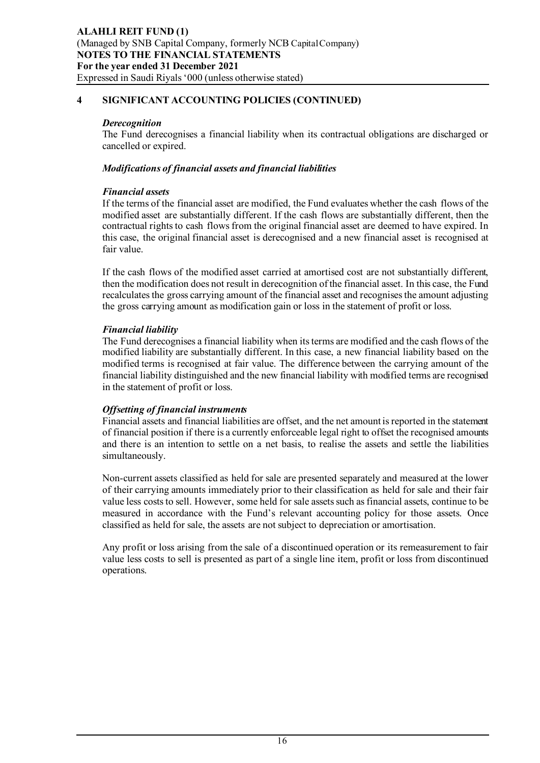## *Derecognition*

The Fund derecognises a financial liability when its contractual obligations are discharged or cancelled or expired.

# *Modifications of financial assets and financial liabilities*

# *Financial assets*

If the terms of the financial asset are modified, the Fund evaluates whether the cash flows of the modified asset are substantially different. If the cash flows are substantially different, then the contractual rights to cash flows from the original financial asset are deemed to have expired. In this case, the original financial asset is derecognised and a new financial asset is recognised at fair value.

If the cash flows of the modified asset carried at amortised cost are not substantially different, then the modification does not result in derecognition of the financial asset. In this case, the Fund recalculates the gross carrying amount of the financial asset and recognises the amount adjusting the gross carrying amount as modification gain or loss in the statement of profit or loss.

# *Financial liability*

The Fund derecognises a financial liability when its terms are modified and the cash flows of the modified liability are substantially different. In this case, a new financial liability based on the modified terms is recognised at fair value. The difference between the carrying amount of the financial liability distinguished and the new financial liability with modified terms are recognised in the statement of profit or loss.

# *Offsetting of financial instruments*

Financial assets and financial liabilities are offset, and the net amount is reported in the statement of financial position if there is a currently enforceable legal right to offset the recognised amounts and there is an intention to settle on a net basis, to realise the assets and settle the liabilities simultaneously.

Non-current assets classified as held for sale are presented separately and measured at the lower of their carrying amounts immediately prior to their classification as held for sale and their fair value less costs to sell. However, some held for sale assets such as financial assets, continue to be measured in accordance with the Fund's relevant accounting policy for those assets. Once classified as held for sale, the assets are not subject to depreciation or amortisation.

Any profit or loss arising from the sale of a discontinued operation or its remeasurement to fair value less costs to sell is presented as part of a single line item, profit or loss from discontinued operations.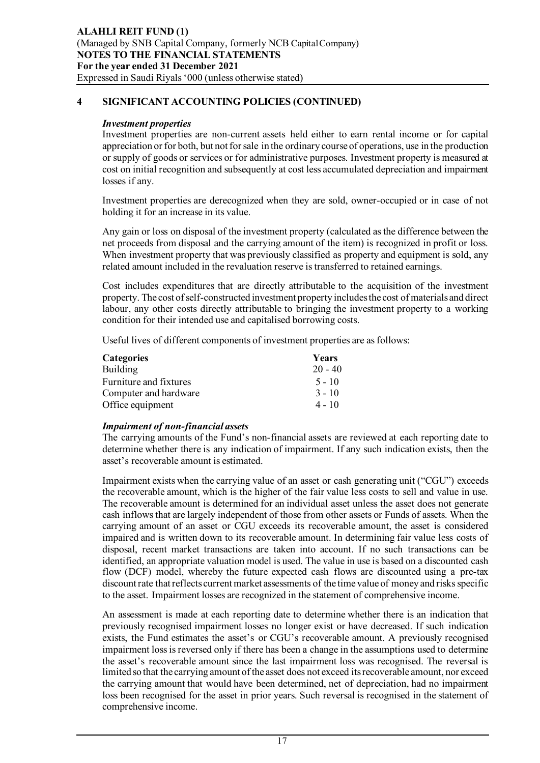### *Investment properties*

Investment properties are non-current assets held either to earn rental income or for capital appreciation or for both, but not for sale in the ordinary course of operations, use in the production or supply of goods or services or for administrative purposes. Investment property is measured at cost on initial recognition and subsequently at cost less accumulated depreciation and impairment losses if any.

Investment properties are derecognized when they are sold, owner-occupied or in case of not holding it for an increase in its value.

Any gain or loss on disposal of the investment property (calculated as the difference between the net proceeds from disposal and the carrying amount of the item) is recognized in profit or loss. When investment property that was previously classified as property and equipment is sold, any related amount included in the revaluation reserve is transferred to retained earnings.

Cost includes expenditures that are directly attributable to the acquisition of the investment property. The cost of self-constructed investment property includes the cost of materials and direct labour, any other costs directly attributable to bringing the investment property to a working condition for their intended use and capitalised borrowing costs.

Useful lives of different components of investment properties are as follows:

| <b>Categories</b>      | Years     |
|------------------------|-----------|
| <b>Building</b>        | $20 - 40$ |
| Furniture and fixtures | $5 - 10$  |
| Computer and hardware  | $3 - 10$  |
| Office equipment       | $4 - 10$  |

# *Impairment of non-financial assets*

The carrying amounts of the Fund's non-financial assets are reviewed at each reporting date to determine whether there is any indication of impairment. If any such indication exists, then the asset's recoverable amount is estimated.

Impairment exists when the carrying value of an asset or cash generating unit ("CGU") exceeds the recoverable amount, which is the higher of the fair value less costs to sell and value in use. The recoverable amount is determined for an individual asset unless the asset does not generate cash inflows that are largely independent of those from other assets or Funds of assets. When the carrying amount of an asset or CGU exceeds its recoverable amount, the asset is considered impaired and is written down to its recoverable amount. In determining fair value less costs of disposal, recent market transactions are taken into account. If no such transactions can be identified, an appropriate valuation model is used. The value in use is based on a discounted cash flow (DCF) model, whereby the future expected cash flows are discounted using a pre-tax discount rate that reflects current market assessments of the time value of money and risks specific to the asset. Impairment losses are recognized in the statement of comprehensive income.

An assessment is made at each reporting date to determine whether there is an indication that previously recognised impairment losses no longer exist or have decreased. If such indication exists, the Fund estimates the asset's or CGU's recoverable amount. A previously recognised impairment loss is reversed only if there has been a change in the assumptions used to determine the asset's recoverable amount since the last impairment loss was recognised. The reversal is limited so that the carrying amount of the asset does not exceed its recoverable amount, nor exceed the carrying amount that would have been determined, net of depreciation, had no impairment loss been recognised for the asset in prior years. Such reversal is recognised in the statement of comprehensive income.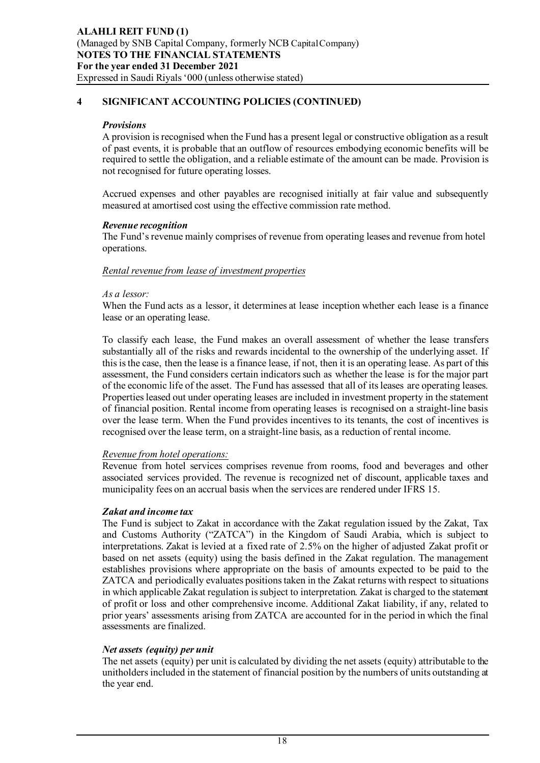#### *Provisions*

A provision is recognised when the Fund has a present legal or constructive obligation as a result of past events, it is probable that an outflow of resources embodying economic benefits will be required to settle the obligation, and a reliable estimate of the amount can be made. Provision is not recognised for future operating losses.

Accrued expenses and other payables are recognised initially at fair value and subsequently measured at amortised cost using the effective commission rate method.

#### *Revenue recognition*

The Fund's revenue mainly comprises of revenue from operating leases and revenue from hotel operations.

#### *Rental revenue from lease of investment properties*

#### *As a lessor:*

When the Fund acts as a lessor, it determines at lease inception whether each lease is a finance lease or an operating lease.

To classify each lease, the Fund makes an overall assessment of whether the lease transfers substantially all of the risks and rewards incidental to the ownership of the underlying asset. If this is the case, then the lease is a finance lease, if not, then it is an operating lease. As part of this assessment, the Fund considers certain indicators such as whether the lease is for the major part of the economic life of the asset. The Fund has assessed that all of its leases are operating leases. Properties leased out under operating leases are included in investment property in the statement of financial position. Rental income from operating leases is recognised on a straight-line basis over the lease term. When the Fund provides incentives to its tenants, the cost of incentives is recognised over the lease term, on a straight-line basis, as a reduction of rental income.

#### *Revenue from hotel operations:*

Revenue from hotel services comprises revenue from rooms, food and beverages and other associated services provided. The revenue is recognized net of discount, applicable taxes and municipality fees on an accrual basis when the services are rendered under IFRS 15.

#### *Zakat and income tax*

The Fund is subject to Zakat in accordance with the Zakat regulation issued by the Zakat, Tax and Customs Authority ("ZATCA") in the Kingdom of Saudi Arabia, which is subject to interpretations. Zakat is levied at a fixed rate of 2.5% on the higher of adjusted Zakat profit or based on net assets (equity) using the basis defined in the Zakat regulation. The management establishes provisions where appropriate on the basis of amounts expected to be paid to the ZATCA and periodically evaluates positions taken in the Zakat returns with respect to situations in which applicable Zakat regulation is subject to interpretation. Zakat is charged to the statement of profit or loss and other comprehensive income. Additional Zakat liability, if any, related to prior years' assessments arising from ZATCA are accounted for in the period in which the final assessments are finalized.

#### *Net assets (equity) per unit*

The net assets (equity) per unit is calculated by dividing the net assets (equity) attributable to the unitholders included in the statement of financial position by the numbers of units outstanding at the year end.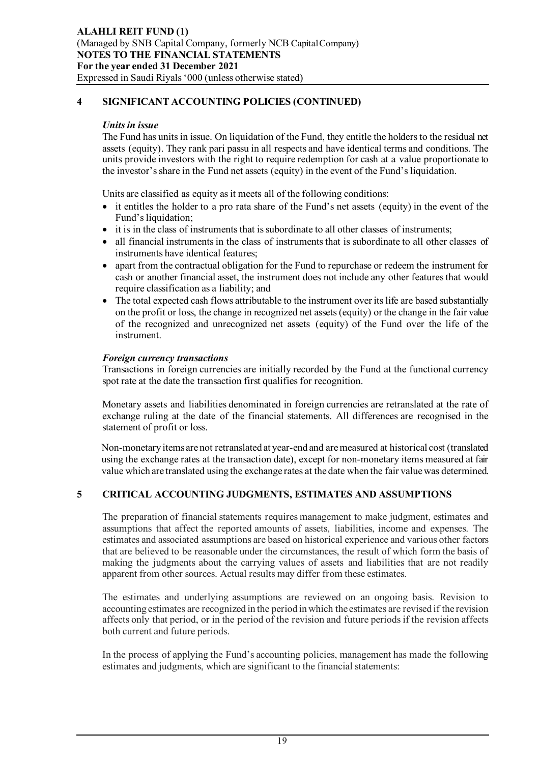#### *Units in issue*

The Fund has units in issue. On liquidation of the Fund, they entitle the holders to the residual net assets (equity). They rank pari passu in all respects and have identical terms and conditions. The units provide investors with the right to require redemption for cash at a value proportionate to the investor's share in the Fund net assets (equity) in the event of the Fund's liquidation.

Units are classified as equity as it meets all of the following conditions:

- it entitles the holder to a pro rata share of the Fund's net assets (equity) in the event of the Fund's liquidation;
- it is in the class of instruments that is subordinate to all other classes of instruments;
- all financial instruments in the class of instruments that is subordinate to all other classes of instruments have identical features;
- apart from the contractual obligation for the Fund to repurchase or redeem the instrument for cash or another financial asset, the instrument does not include any other features that would require classification as a liability; and
- The total expected cash flows attributable to the instrument over its life are based substantially on the profit or loss, the change in recognized net assets (equity) or the change in the fair value of the recognized and unrecognized net assets (equity) of the Fund over the life of the instrument.

### *Foreign currency transactions*

Transactions in foreign currencies are initially recorded by the Fund at the functional currency spot rate at the date the transaction first qualifies for recognition.

Monetary assets and liabilities denominated in foreign currencies are retranslated at the rate of exchange ruling at the date of the financial statements. All differences are recognised in the statement of profit or loss.

Non-monetary items are not retranslated at year-end and are measured at historical cost (translated using the exchange rates at the transaction date), except for non-monetary items measured at fair value which are translated using the exchange rates at the date when the fair value was determined.

# **5 CRITICAL ACCOUNTING JUDGMENTS, ESTIMATES AND ASSUMPTIONS**

The preparation of financial statements requires management to make judgment, estimates and assumptions that affect the reported amounts of assets, liabilities, income and expenses. The estimates and associated assumptions are based on historical experience and various other factors that are believed to be reasonable under the circumstances, the result of which form the basis of making the judgments about the carrying values of assets and liabilities that are not readily apparent from other sources. Actual results may differ from these estimates.

The estimates and underlying assumptions are reviewed on an ongoing basis. Revision to accounting estimates are recognized in the period in which the estimates are revised if the revision affects only that period, or in the period of the revision and future periods if the revision affects both current and future periods.

In the process of applying the Fund's accounting policies, management has made the following estimates and judgments, which are significant to the financial statements: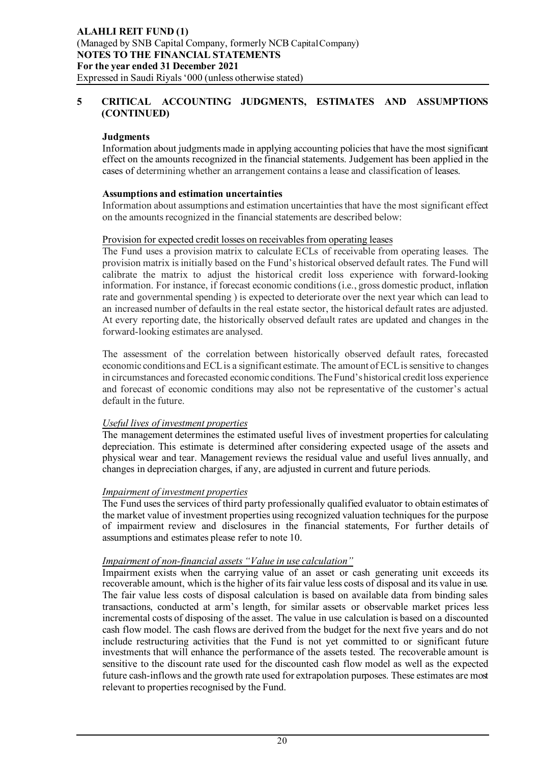## **5 CRITICAL ACCOUNTING JUDGMENTS, ESTIMATES AND ASSUMPTIONS (CONTINUED)**

# **Judgments**

Information about judgments made in applying accounting policies that have the most significant effect on the amounts recognized in the financial statements. Judgement has been applied in the cases of determining whether an arrangement contains a lease and classification of leases.

### **Assumptions and estimation uncertainties**

Information about assumptions and estimation uncertainties that have the most significant effect on the amounts recognized in the financial statements are described below:

### Provision for expected credit losses on receivables from operating leases

The Fund uses a provision matrix to calculate ECLs of receivable from operating leases. The provision matrix is initially based on the Fund's historical observed default rates. The Fund will calibrate the matrix to adjust the historical credit loss experience with forward-looking information. For instance, if forecast economic conditions (i.e., gross domestic product, inflation rate and governmental spending ) is expected to deteriorate over the next year which can lead to an increased number of defaults in the real estate sector, the historical default rates are adjusted. At every reporting date, the historically observed default rates are updated and changes in the forward-looking estimates are analysed.

The assessment of the correlation between historically observed default rates, forecasted economic conditions and ECL is a significant estimate. The amount of ECL is sensitive to changes in circumstances and forecasted economic conditions. The Fund's historical credit loss experience and forecast of economic conditions may also not be representative of the customer's actual default in the future.

# *Useful lives of investment properties*

The management determines the estimated useful lives of investment properties for calculating depreciation. This estimate is determined after considering expected usage of the assets and physical wear and tear. Management reviews the residual value and useful lives annually, and changes in depreciation charges, if any, are adjusted in current and future periods.

# *Impairment of investment properties*

The Fund uses the services of third party professionally qualified evaluator to obtain estimates of the market value of investment properties using recognized valuation techniques for the purpose of impairment review and disclosures in the financial statements, For further details of assumptions and estimates please refer to note 10.

# *Impairment of non-financial assets "Value in use calculation"*

Impairment exists when the carrying value of an asset or cash generating unit exceeds its recoverable amount, which is the higher of its fair value less costs of disposal and its value in use. The fair value less costs of disposal calculation is based on available data from binding sales transactions, conducted at arm's length, for similar assets or observable market prices less incremental costs of disposing of the asset. The value in use calculation is based on a discounted cash flow model. The cash flows are derived from the budget for the next five years and do not include restructuring activities that the Fund is not yet committed to or significant future investments that will enhance the performance of the assets tested. The recoverable amount is sensitive to the discount rate used for the discounted cash flow model as well as the expected future cash-inflows and the growth rate used for extrapolation purposes. These estimates are most relevant to properties recognised by the Fund.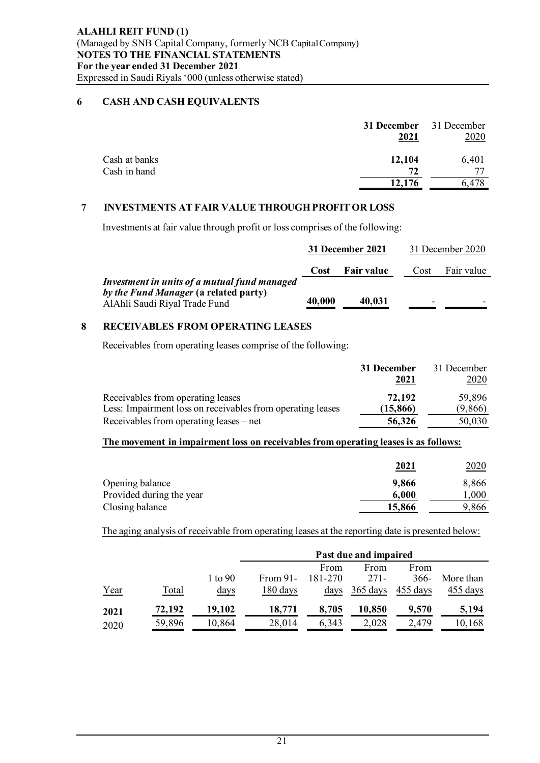# **6 CASH AND CASH EQUIVALENTS**

|               | <b>31 December</b> 31 December<br>2021 | 2020  |
|---------------|----------------------------------------|-------|
| Cash at banks | 12,104                                 | 6,401 |
| Cash in hand  | 72                                     |       |
|               | 12.176                                 |       |

# **7 INVESTMENTS AT FAIR VALUE THROUGH PROFIT OR LOSS**

Investments at fair value through profit or loss comprises of the following:

|                                                                                                                        | 31 December 2021 |                   | 31 December 2020 |            |
|------------------------------------------------------------------------------------------------------------------------|------------------|-------------------|------------------|------------|
|                                                                                                                        | Cost             | <b>Fair value</b> | Cost             | Fair value |
| Investment in units of a mutual fund managed<br>by the Fund Manager (a related party)<br>AlAhli Saudi Riyal Trade Fund | 40,000           | 40,031            |                  |            |

# **8 RECEIVABLES FROM OPERATING LEASES**

Receivables from operating leases comprise of the following:

|                                                            | 31 December | 31 December |
|------------------------------------------------------------|-------------|-------------|
|                                                            | 2021        | 2020        |
| Receivables from operating leases                          | 72.192      | 59,896      |
| Less: Impairment loss on receivables from operating leases | (15, 866)   | (9,866)     |
| Receivables from operating leases – net                    | 56,326      | 50,030      |

# **The movement in impairment loss on receivables from operating leases is as follows:**

|                          | 2021   | <u> 2020</u> |
|--------------------------|--------|--------------|
| Opening balance          | 9,866  | 8,866        |
| Provided during the year | 6,000  | 000.         |
| Closing balance          | 15,866 | 9,866        |

The aging analysis of receivable from operating leases at the reporting date is presented below:

|      |        |                  | Past due and impaired |         |          |          |           |
|------|--------|------------------|-----------------------|---------|----------|----------|-----------|
|      |        |                  |                       | From    | From     | From     |           |
|      |        | 1 to $90$        | From $91-$            | 181-270 | 271-     | $366-$   | More than |
| Year | Total  | $\frac{days}{9}$ | 180 days              | days    | 365 days | 455 days | 455 days  |
| 2021 | 72,192 | 19,102           | 18,771                | 8,705   | 10,850   | 9,570    | 5,194     |
| 2020 | 59,896 | 10,864           | 28,014                | 6,343   | 2,028    | 2,479    | 10,168    |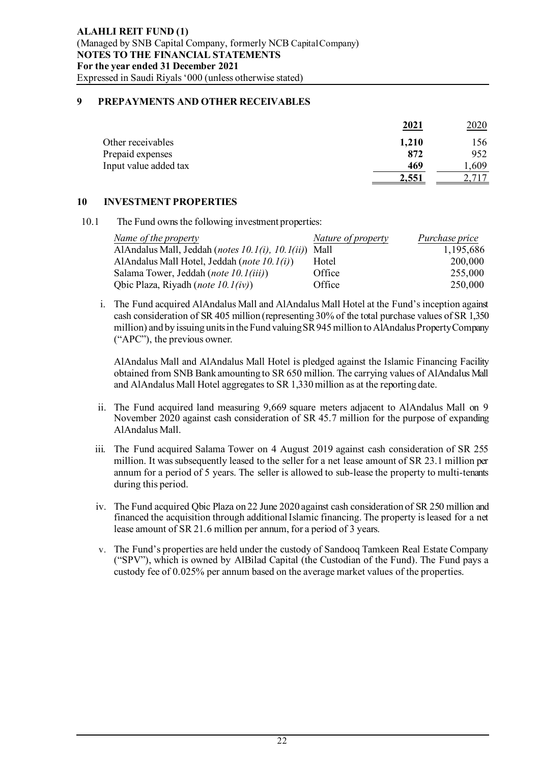## **9 PREPAYMENTS AND OTHER RECEIVABLES**

|                       | 2021  | 2020 |
|-----------------------|-------|------|
| Other receivables     | 1,210 | 156  |
| Prepaid expenses      | 872   | 952  |
| Input value added tax | 469   | .609 |
|                       | 2,551 |      |

### **10 INVESTMENT PROPERTIES**

10.1 The Fund owns the following investment properties:

| Name of the property                             | Nature of property | Purchase price |
|--------------------------------------------------|--------------------|----------------|
| AlAndalus Mall, Jeddah (notes 10.1(i), 10.1(ii)) | Mall               | 1,195,686      |
| AlAndalus Mall Hotel, Jeddah (note 10.1(i))      | Hotel              | 200,000        |
| Salama Tower, Jeddah (note 10.1(iii))            | Office             | 255,000        |
| Qbic Plaza, Riyadh ( <i>note 10.1(iv)</i> )      | Office             | 250,000        |

i. The Fund acquired AlAndalus Mall and AlAndalus Mall Hotel at the Fund's inception against cash consideration of SR 405 million (representing 30% of the total purchase values of SR 1,350 million) and by issuing units in the Fund valuing SR 945 million to AlAndalus Property Company ("APC"), the previous owner.

AlAndalus Mall and AlAndalus Mall Hotel is pledged against the Islamic Financing Facility obtained from SNB Bank amounting to SR 650 million. The carrying values of AlAndalus Mall and AlAndalus Mall Hotel aggregates to SR 1,330 million as at the reporting date.

- ii. The Fund acquired land measuring 9,669 square meters adjacent to AlAndalus Mall on 9 November 2020 against cash consideration of SR 45.7 million for the purpose of expanding AlAndalus Mall.
- iii. The Fund acquired Salama Tower on 4 August 2019 against cash consideration of SR 255 million. It was subsequently leased to the seller for a net lease amount of SR 23.1 million per annum for a period of 5 years. The seller is allowed to sub-lease the property to multi-tenants during this period.
- iv. The Fund acquired Qbic Plaza on 22 June 2020 against cash consideration of SR 250 million and financed the acquisition through additional Islamic financing. The property is leased for a net lease amount of SR 21.6 million per annum, for a period of 3 years.
- v. The Fund's properties are held under the custody of Sandooq Tamkeen Real Estate Company ("SPV"), which is owned by AlBilad Capital (the Custodian of the Fund). The Fund pays a custody fee of 0.025% per annum based on the average market values of the properties.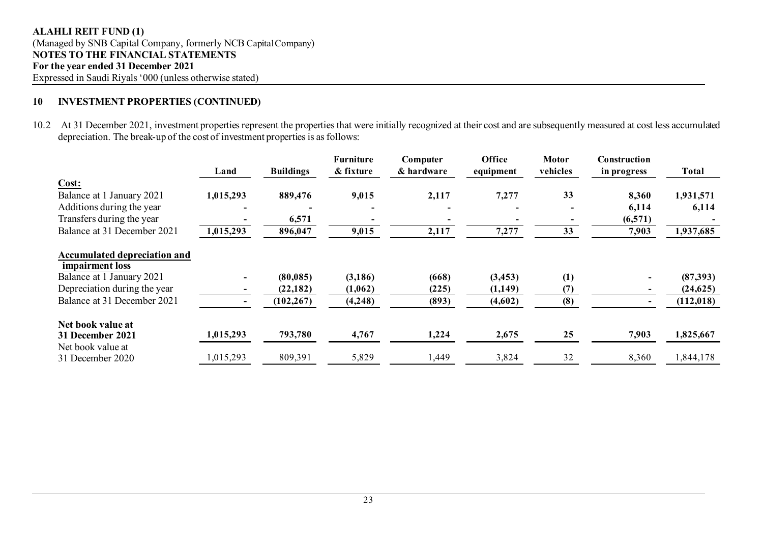# **10 INVESTMENT PROPERTIES (CONTINUED)**

10.2 At 31 December 2021, investment properties represent the properties that were initially recognized at their cost and are subsequently measured at cost less accumulated depreciation. The break-up of the cost of investment properties is as follows:

|                                                        | Land      | <b>Buildings</b> | <b>Furniture</b><br>& fixture | Computer<br>& hardware | Office<br>equipment | <b>Motor</b><br>vehicles | Construction<br>in progress | Total      |
|--------------------------------------------------------|-----------|------------------|-------------------------------|------------------------|---------------------|--------------------------|-----------------------------|------------|
| Cost:                                                  |           |                  |                               |                        |                     |                          |                             |            |
| Balance at 1 January 2021                              | 1,015,293 | 889,476          | 9,015                         | 2,117                  | 7,277               | 33                       | 8,360                       | 1,931,571  |
| Additions during the year                              |           |                  |                               |                        |                     |                          | 6,114                       | 6,114      |
| Transfers during the year                              |           | 6,571            |                               |                        |                     |                          | (6,571)                     |            |
| Balance at 31 December 2021                            | 1,015,293 | 896,047          | 9,015                         | 2,117                  | 7,277               | 33                       | 7,903                       | 1,937,685  |
| <b>Accumulated depreciation and</b><br>impairment loss |           |                  |                               |                        |                     |                          |                             |            |
| Balance at 1 January 2021                              |           | (80, 085)        | (3, 186)                      | (668)                  | (3, 453)            | (1)                      |                             | (87,393)   |
| Depreciation during the year                           |           | (22, 182)        | (1,062)                       | (225)                  | (1,149)             | (7)                      |                             | (24,625)   |
| Balance at 31 December 2021                            |           | (102, 267)       | (4,248)                       | (893)                  | (4,602)             | (8)                      |                             | (112, 018) |
| Net book value at                                      |           |                  |                               |                        |                     |                          |                             |            |
| 31 December 2021                                       | 1,015,293 | 793,780          | 4,767                         | 1,224                  | 2,675               | 25                       | 7,903                       | 1,825,667  |
| Net book value at                                      |           |                  |                               |                        |                     |                          |                             |            |
| 31 December 2020                                       | 1,015,293 | 809,391          | 5,829                         | 1,449                  | 3,824               | 32                       | 8,360                       | 1,844,178  |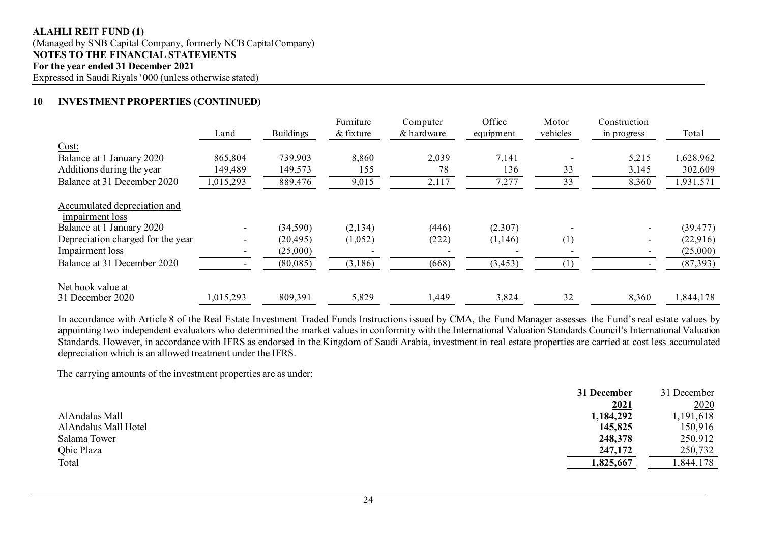#### **ALAHLI REIT FUND (1)** (Managed by SNB Capital Company, formerly NCB Capital Company) **NOTES TO THE FINANCIAL STATEMENTS For the year ended 31 December 2021** Expressed in Saudi Riyals '000 (unless otherwise stated)

# **10 INVESTMENT PROPERTIES (CONTINUED)**

|                                                                              | Land                     | <b>Buildings</b> | Furniture<br>& fixture | Computer<br>& hardware | Office<br>equipment | Motor<br>vehicles | Construction<br>in progress | Total     |
|------------------------------------------------------------------------------|--------------------------|------------------|------------------------|------------------------|---------------------|-------------------|-----------------------------|-----------|
| Cost:                                                                        |                          |                  |                        |                        |                     |                   |                             |           |
| Balance at 1 January 2020                                                    | 865,804                  | 739,903          | 8,860                  | 2,039                  | 7,141               |                   | 5,215                       | 1,628,962 |
| Additions during the year                                                    | 149,489                  | 149,573          | 155                    | 78                     | 136                 | 33                | 3,145                       | 302,609   |
| Balance at 31 December 2020                                                  | 1,015,293                | 889,476          | 9,015                  | 2,117                  | 7,277               | 33                | 8,360                       | 1,931,571 |
| Accumulated depreciation and<br>impairment loss<br>Balance at 1 January 2020 | $\sim$                   | (34, 590)        | (2,134)                | (446)                  | (2,307)             |                   |                             | (39, 477) |
| Depreciation charged for the year                                            | $\overline{\phantom{a}}$ | (20, 495)        | (1,052)                | (222)                  | (1,146)             | (1)               |                             | (22,916)  |
| Impairment loss                                                              |                          | (25,000)         |                        |                        |                     |                   |                             | (25,000)  |
| Balance at 31 December 2020                                                  |                          | (80,085)         | (3,186)                | (668)                  | (3, 453)            | (1)               |                             | (87,393)  |
| Net book value at<br>31 December 2020                                        | 1,015,293                | 809,391          | 5,829                  | 1,449                  | 3,824               | 32                | 8,360                       | 1,844,178 |

In accordance with Article 8 of the Real Estate Investment Traded Funds Instructions issued by CMA, the Fund Manager assesses the Fund's real estate values by appointing two independent evaluators who determined the market valuesin conformity with the International Valuation Standards Council's International Valuation Standards. However, in accordance with IFRS as endorsed in the Kingdom of Saudi Arabia, investment in real estate properties are carried at cost less accumulated depreciation which is an allowed treatment under the IFRS.

The carrying amounts of the investment properties are as under:

|                      | 31 December | 31 December |
|----------------------|-------------|-------------|
|                      | 2021        | 2020        |
| AlAndalus Mall       | 1,184,292   | 1,191,618   |
| AlAndalus Mall Hotel | 145,825     | 150,916     |
| Salama Tower         | 248,378     | 250,912     |
| <b>Obic Plaza</b>    | 247,172     | 250,732     |
| Total                | 1,825,667   | ,844,178    |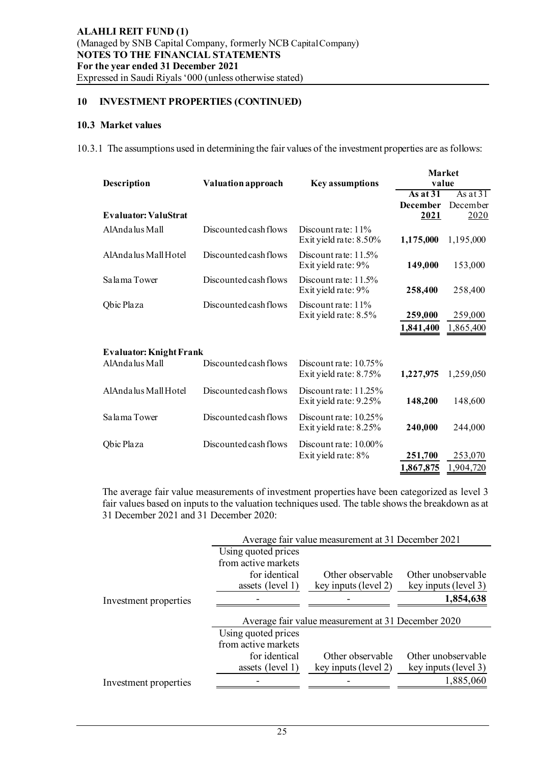# **10 INVESTMENT PROPERTIES (CONTINUED)**

#### **10.3 Market values**

10.3.1 The assumptions used in determining the fair values of the investment properties are as follows:

| <b>Description</b>             | <b>Valuation approach</b> | <b>Key assumptions</b>                             | <b>Market</b><br>value                |                                |
|--------------------------------|---------------------------|----------------------------------------------------|---------------------------------------|--------------------------------|
| <b>Evaluator: ValuStrat</b>    |                           |                                                    | As at $31$<br><b>December</b><br>2021 | As at $31$<br>December<br>2020 |
| AlAndalus Mall                 | Discounted cash flows     | Discount rate: $11\%$<br>Exit yield rate: 8.50%    | 1,175,000                             | 1,195,000                      |
| AlAndalus Mall Hotel           | Discounted cash flows     | Discount rate: $11.5\%$<br>Exit yield rate: 9%     | 149,000                               | 153,000                        |
| Salama Tower                   | Discounted cash flows     | Discount rate: $11.5\%$<br>Exit yield rate: 9%     | 258,400                               | 258,400                        |
| Qbic Plaza                     | Discounted cash flows     | Discount rate: $11\%$<br>Exit yield rate: 8.5%     | 259,000<br>1,841,400                  | 259,000<br>1,865,400           |
| <b>Evaluator: Knight Frank</b> |                           |                                                    |                                       |                                |
| AlAndalus Mall                 | Discounted cash flows     | Discount rate: $10.75\%$<br>Exit yield rate: 8.75% | 1,227,975                             | 1,259,050                      |
| AlAndalus Mall Hotel           | Discounted cash flows     | Discount rate: $11.25\%$<br>Exit yield rate: 9.25% | 148,200                               | 148,600                        |
| Salama Tower                   | Discounted cash flows     | Discount rate: $10.25\%$<br>Exit yield rate: 8.25% | 240,000                               | 244,000                        |
| Qbic Plaza                     | Discounted cash flows     | Discount rate: $10.00\%$<br>Exit yield rate: 8%    | 251,700<br>1,867,875                  | 253,070<br>1,904,720           |

The average fair value measurements of investment properties have been categorized as level 3 fair values based on inputs to the valuation techniques used. The table shows the breakdown as at 31 December 2021 and 31 December 2020:

|                       | Average fair value measurement at 31 December 2021 |                                                    |                      |  |  |
|-----------------------|----------------------------------------------------|----------------------------------------------------|----------------------|--|--|
|                       | Using quoted prices                                |                                                    |                      |  |  |
|                       | from active markets                                |                                                    |                      |  |  |
|                       | for identical                                      | Other observable                                   | Other unobservable   |  |  |
|                       | assets (level 1)                                   | key inputs (level 2)                               | key inputs (level 3) |  |  |
| Investment properties |                                                    |                                                    | 1,854,638            |  |  |
|                       |                                                    |                                                    |                      |  |  |
|                       |                                                    |                                                    |                      |  |  |
|                       |                                                    | Average fair value measurement at 31 December 2020 |                      |  |  |
|                       | Using quoted prices                                |                                                    |                      |  |  |
|                       | from active markets                                |                                                    |                      |  |  |
|                       | for identical                                      | Other observable                                   | Other unobservable   |  |  |
|                       | assets (level 1)                                   | key inputs (level 2)                               | key inputs (level 3) |  |  |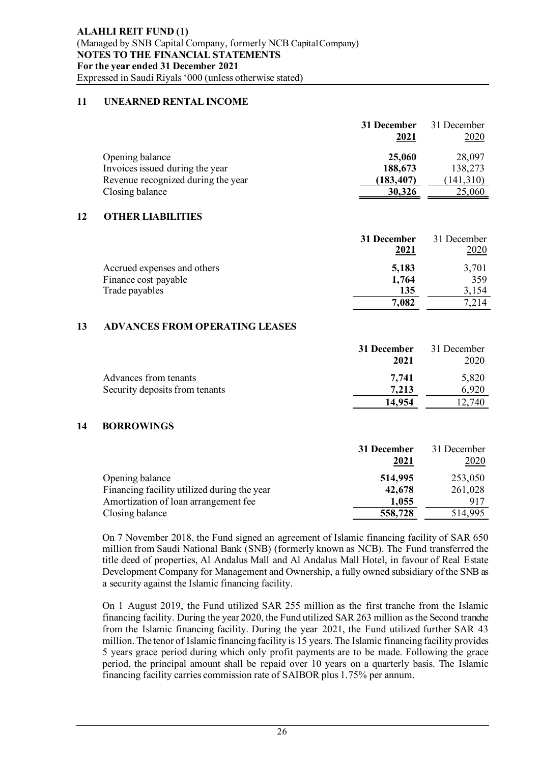# **11 UNEARNED RENTAL INCOME**

|                                                       | 31 December<br>2021  | 31 December<br><u> 2020 </u> |
|-------------------------------------------------------|----------------------|------------------------------|
| Opening balance                                       | 25,060               | 28,097                       |
| Invoices issued during the year                       | 188,673              | 138,273                      |
| Revenue recognized during the year<br>Closing balance | (183, 407)<br>30,326 | (141, 310)<br>25,060         |

# **12 OTHER LIABILITIES**

|                                                     | 31 December<br>2021 | 31 December<br>2020 |
|-----------------------------------------------------|---------------------|---------------------|
| Accrued expenses and others<br>Finance cost payable | 5,183<br>1,764      | 3,701<br>359        |
| Trade payables                                      | 135                 | 3,154               |
|                                                     | 7,082               | 214                 |

# **13 ADVANCES FROM OPERATING LEASES**

|                                | 31 December | 31 December |
|--------------------------------|-------------|-------------|
|                                | 2021        | 2020        |
| Advances from tenants          | 7,741       | 5,820       |
| Security deposits from tenants | 7,213       | 6,920       |
|                                | 14,954      | .740        |

# **14 BORROWINGS**

|                                             | 31 December<br>2021 | 31 December<br>2020 |
|---------------------------------------------|---------------------|---------------------|
| Opening balance                             | 514,995             | 253,050             |
| Financing facility utilized during the year | 42,678              | 261,028             |
| Amortization of loan arrangement fee        | 1,055               | 917                 |
| Closing balance                             | 558,728             | 514,995             |

On 7 November 2018, the Fund signed an agreement of Islamic financing facility of SAR 650 million from Saudi National Bank (SNB) (formerly known as NCB). The Fund transferred the title deed of properties, Al Andalus Mall and Al Andalus Mall Hotel, in favour of Real Estate Development Company for Management and Ownership, a fully owned subsidiary of the SNB as a security against the Islamic financing facility.

On 1 August 2019, the Fund utilized SAR 255 million as the first tranche from the Islamic financing facility. During the year 2020, the Fund utilized SAR 263 million as the Second tranche from the Islamic financing facility. During the year 2021, the Fund utilized further SAR 43 million. The tenor of Islamic financing facility is 15 years. The Islamic financing facility provides 5 years grace period during which only profit payments are to be made. Following the grace period, the principal amount shall be repaid over 10 years on a quarterly basis. The Islamic financing facility carries commission rate of SAIBOR plus 1.75% per annum.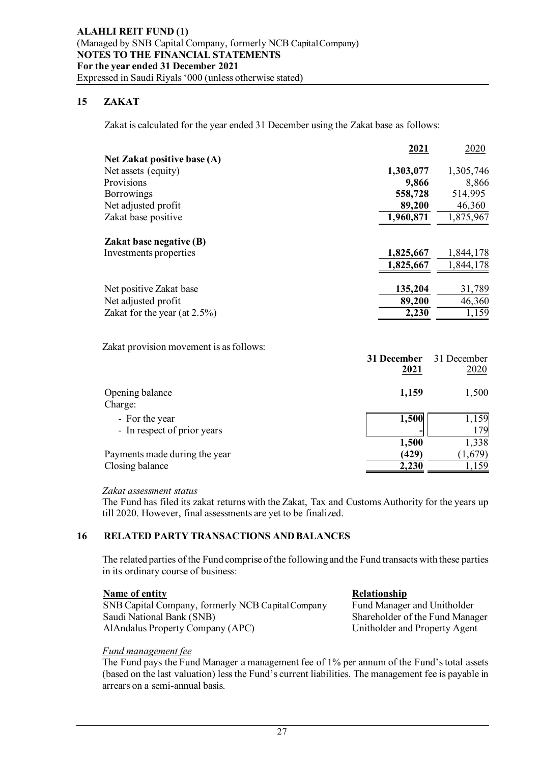# **15 ZAKAT**

Zakat is calculated for the year ended 31 December using the Zakat base as follows:

|                                               | 2021                | 2020                |
|-----------------------------------------------|---------------------|---------------------|
| Net Zakat positive base (A)                   |                     |                     |
| Net assets (equity)                           | 1,303,077           | 1,305,746           |
| Provisions                                    | 9,866               | 8,866               |
| <b>Borrowings</b>                             | 558,728             | 514,995             |
| Net adjusted profit                           | 89,200              | 46,360              |
| Zakat base positive                           | 1,960,871           | 1,875,967           |
| <b>Zakat base negative (B)</b>                |                     |                     |
| Investments properties                        | 1,825,667           | 1,844,178           |
|                                               | 1,825,667           | 1,844,178           |
| Net positive Zakat base                       | 135,204             | 31,789              |
| Net adjusted profit                           | 89,200              | 46,360              |
| Zakat for the year (at $2.5\%$ )              | 2,230               | 1,159               |
|                                               |                     |                     |
| Zakat provision movement is as follows:       |                     |                     |
|                                               | 31 December<br>2021 | 31 December<br>2020 |
|                                               |                     |                     |
| Opening balance<br>Charge:                    | 1,159               | 1,500               |
| - For the year<br>- In respect of prior years | 1,500               | 1,159<br>179        |

Payments made during the year **(429)** (1,679) Closing balance **2,230** 

 *Zakat assessment status*

The Fund has filed its zakat returns with the Zakat, Tax and Customs Authority for the years up till 2020. However, final assessments are yet to be finalized.

#### **16 RELATED PARTY TRANSACTIONS AND BALANCES**

The related parties of the Fund comprise of the following and the Fund transacts with these parties in its ordinary course of business:

#### **Name of entity Relationship**

SNB Capital Company, formerly NCB Capital Company Fund Manager and Unitholder Saudi National Bank (SNB) Shareholder of the Fund Manager AlAndalus Property Company (APC) Unitholder and Property Agent

#### *Fund management fee*

The Fund pays the Fund Manager a management fee of 1% per annum of the Fund's total assets (based on the last valuation) less the Fund's current liabilities. The management fee is payable in arrears on a semi-annual basis.

**1,500** 1,338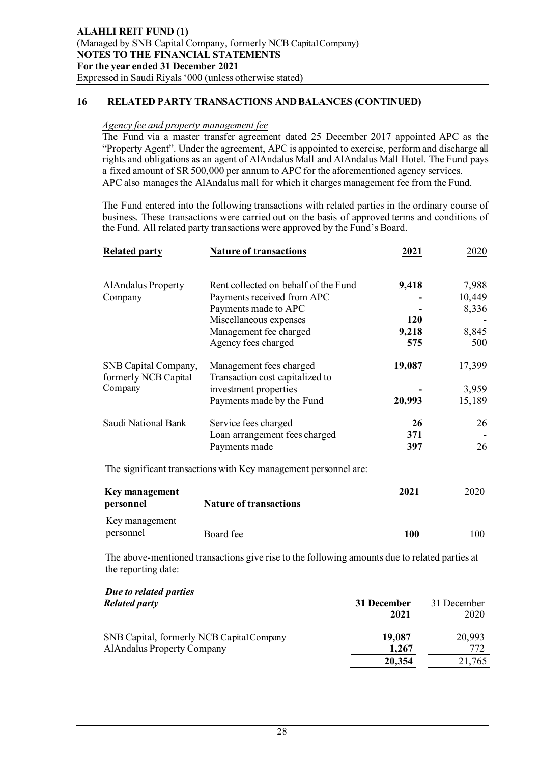# **16 RELATED PARTY TRANSACTIONS AND BALANCES (CONTINUED)**

#### *Agency fee and property management fee*

The Fund via a master transfer agreement dated 25 December 2017 appointed APC as the "Property Agent". Under the agreement, APC is appointed to exercise, perform and discharge all rights and obligations as an agent of AlAndalus Mall and AlAndalus Mall Hotel. The Fund pays a fixed amount of SR 500,000 per annum to APC for the aforementioned agency services. APC also manages the AlAndalus mall for which it charges management fee from the Fund.

The Fund entered into the following transactions with related parties in the ordinary course of business. These transactions were carried out on the basis of approved terms and conditions of the Fund. All related party transactions were approved by the Fund's Board.

| <b>Related party</b>                         | <b>Nature of transactions</b>                                   | 2021   | 2020        |
|----------------------------------------------|-----------------------------------------------------------------|--------|-------------|
| <b>AlAndalus Property</b>                    | Rent collected on behalf of the Fund                            | 9,418  | 7,988       |
| Company                                      | Payments received from APC                                      |        | 10,449      |
|                                              | Payments made to APC                                            |        | 8,336       |
|                                              | Miscellaneous expenses                                          | 120    |             |
|                                              | Management fee charged                                          | 9,218  | 8,845       |
|                                              | Agency fees charged                                             | 575    | 500         |
| SNB Capital Company,<br>formerly NCB Capital | Management fees charged<br>Transaction cost capitalized to      | 19,087 | 17,399      |
| Company                                      | investment properties                                           |        | 3,959       |
|                                              | Payments made by the Fund                                       | 20,993 | 15,189      |
| Saudi National Bank                          | Service fees charged                                            | 26     | 26          |
|                                              | Loan arrangement fees charged                                   | 371    |             |
|                                              | Payments made                                                   | 397    | 26          |
|                                              | The significant transactions with Key management personnel are: |        |             |
| <b>Key management</b>                        |                                                                 | 2021   | <u>2020</u> |
| personnel                                    | <b>Nature of transactions</b>                                   |        |             |
| Key management                               |                                                                 |        |             |
| personnel                                    | Board fee                                                       | 100    | 100         |

The above-mentioned transactions give rise to the following amounts due to related parties at the reporting date:

| Due to related parties                    |             |             |
|-------------------------------------------|-------------|-------------|
| <b>Related party</b>                      | 31 December | 31 December |
|                                           | 2021        | 2020        |
| SNB Capital, formerly NCB Capital Company | 19,087      | 20,993      |
| <b>AlAndalus Property Company</b>         | 1,267       | 772         |
|                                           | 20,354      | 21,765      |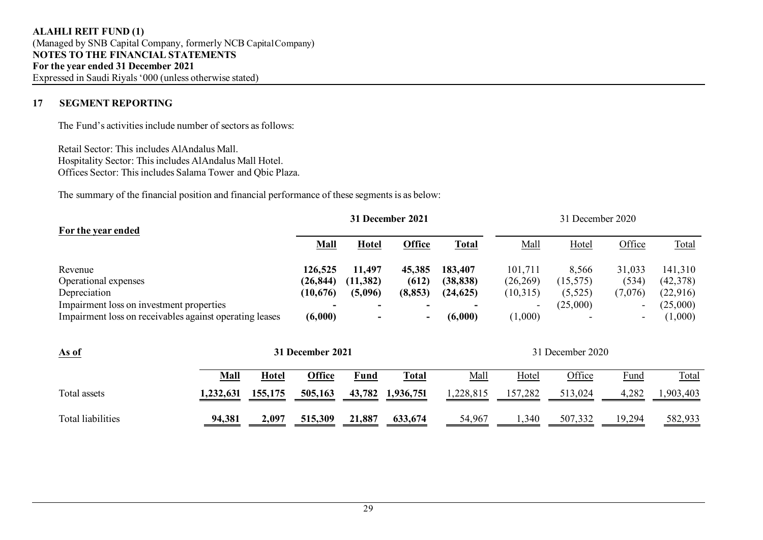# **17 SEGMENT REPORTING**

The Fund's activities include number of sectors as follows:

Retail Sector: This includes AlAndalus Mall. Hospitality Sector: This includes AlAndalus Mall Hotel. Offices Sector: This includes Salama Tower and Qbic Plaza.

The summary of the financial position and financial performance of these segments is as below:

| For the year ended                                                                                  | 31 December 2021     |                      |                 | 31 December 2020     |                           |                    |                                                      |                     |
|-----------------------------------------------------------------------------------------------------|----------------------|----------------------|-----------------|----------------------|---------------------------|--------------------|------------------------------------------------------|---------------------|
|                                                                                                     | Mall                 | <b>Hotel</b>         | <b>Office</b>   | <b>Total</b>         | Mall                      | Hotel              | Office                                               | Total               |
| Revenue<br>Operational expenses                                                                     | 126,525<br>(26, 844) | 11,497<br>(11, 382)  | 45,385<br>(612) | 183,407<br>(38, 838) | 101,711<br>(26, 269)      | 8,566<br>(15, 575) | 31,033<br>(534)                                      | 141,310<br>(42,378) |
| Depreciation                                                                                        | (10, 676)            | (5,096)              | (8, 853)        | (24, 625)            | (10,315)                  | (5, 525)           | (7,076)                                              | (22, 916)           |
| Impairment loss on investment properties<br>Impairment loss on receivables against operating leases | (6,000)              | ۰.<br>$\blacksquare$ | -<br>۰          | (6,000)              | $\blacksquare$<br>(1,000) | (25,000)           | $\overline{\phantom{a}}$<br>$\overline{\phantom{0}}$ | (25,000)<br>(1,000) |

| As of             | 31 December 2021 |         |         | 31 December 2020 |              |           |         |         |        |           |
|-------------------|------------------|---------|---------|------------------|--------------|-----------|---------|---------|--------|-----------|
|                   | Mall             | Hotel   | Office  | Fund             | <b>Total</b> | Mall      | Hotel   | Office  | Fund   | Total     |
| Total assets      | 1,232,631        | 155,175 | 505,163 | 43,782           | 1,936,751    | 1,228,815 | 157,282 | 513,024 | 4,282  | 1,903,403 |
| Total liabilities | 94,381           | 2,097   | 515,309 | 21,887           | 633,674      | 54,967    | 1,340   | 507,332 | 19,294 | 582,933   |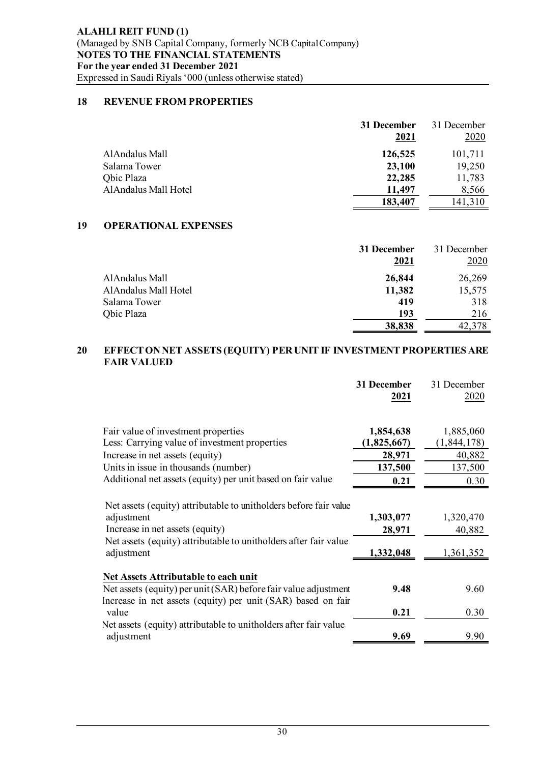# **18 REVENUE FROM PROPERTIES**

|                      | 31 December | 31 December |
|----------------------|-------------|-------------|
|                      | 2021        | 2020        |
| AlAndalus Mall       | 126,525     | 101,711     |
| Salama Tower         | 23,100      | 19,250      |
| Qbic Plaza           | 22,285      | 11,783      |
| AlAndalus Mall Hotel | 11,497      | 8,566       |
|                      | 183,407     | 141,310     |

# **19 OPERATIONAL EXPENSES**

|                      | 31 December | 31 December |
|----------------------|-------------|-------------|
|                      | 2021        | 2020        |
| AlAndalus Mall       | 26,844      | 26,269      |
| AlAndalus Mall Hotel | 11,382      | 15,575      |
| Salama Tower         | 419         | 318         |
| Qbic Plaza           | 193         | 216         |
|                      | 38,838      | 42,378      |

## **20 EFFECT ON NET ASSETS (EQUITY) PER UNIT IF INVESTMENT PROPERTIES ARE FAIR VALUED**

|                                                                                                                                                                                                      | 31 December<br>2021              | 31 December<br>2020              |
|------------------------------------------------------------------------------------------------------------------------------------------------------------------------------------------------------|----------------------------------|----------------------------------|
| Fair value of investment properties                                                                                                                                                                  | 1,854,638                        | 1,885,060                        |
| Less: Carrying value of investment properties                                                                                                                                                        | (1,825,667)                      | (1, 844, 178)                    |
| Increase in net assets (equity)                                                                                                                                                                      | 28,971                           | 40,882                           |
| Units in issue in thousands (number)                                                                                                                                                                 | 137,500                          | 137,500                          |
| Additional net assets (equity) per unit based on fair value                                                                                                                                          | 0.21                             | 0.30                             |
| Net assets (equity) attributable to unitholders before fair value<br>adjustment<br>Increase in net assets (equity)<br>Net assets (equity) attributable to unitholders after fair value<br>adjustment | 1,303,077<br>28,971<br>1,332,048 | 1,320,470<br>40,882<br>1,361,352 |
| Net Assets Attributable to each unit                                                                                                                                                                 |                                  |                                  |
| Net assets (equity) per unit (SAR) before fair value adjustment<br>Increase in net assets (equity) per unit (SAR) based on fair                                                                      | 9.48                             | 9.60                             |
| value                                                                                                                                                                                                | 0.21                             | 0.30                             |
| Net assets (equity) attributable to unitholders after fair value<br>adjustment                                                                                                                       | 9.69                             | 9.90                             |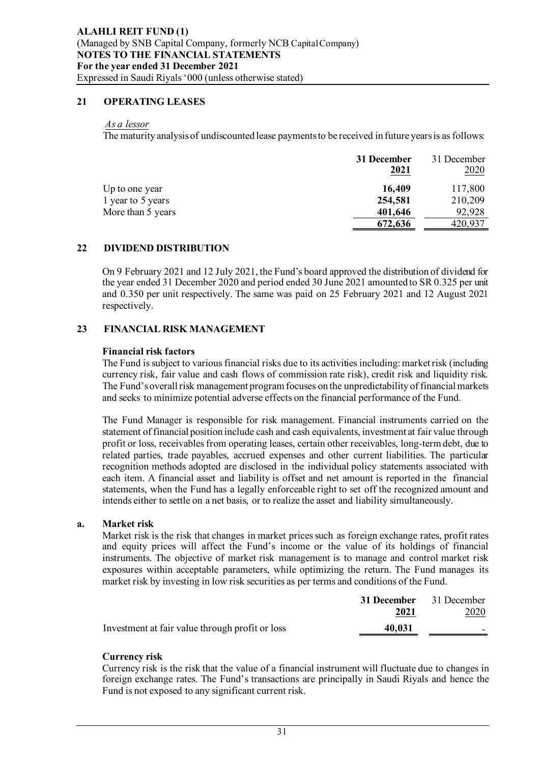# **21 OPERATING LEASES**

#### *As a lessor*

The maturity analysis of undiscounted lease payments to be received in future years is as follows:

|                   | 31 December<br>2021 | 31 December<br><u>2020</u> |
|-------------------|---------------------|----------------------------|
| Up to one year    | 16,409              | 117,800                    |
| 1 year to 5 years | 254,581             | 210,209                    |
| More than 5 years | 401,646             | 92,928                     |
|                   | 672,636             | 420,937                    |

### **22 DIVIDEND DISTRIBUTION**

On 9 February 2021 and 12 July 2021, the Fund's board approved the distribution of dividend for the year ended 31 December 2020 and period ended 30 June 2021 amounted to SR 0.325 per unit and 0.350 per unit respectively. The same was paid on 25 February 2021 and 12 August 2021 respectively.

### **23 FINANCIAL RISK MANAGEMENT**

#### **Financial risk factors**

The Fund is subject to various financial risks due to its activities including: market risk (including currency risk, fair value and cash flows of commission rate risk), credit risk and liquidity risk. The Fund's overall risk management program focuses on the unpredictability of financial markets and seeks to minimize potential adverse effects on the financial performance of the Fund.

The Fund Manager is responsible for risk management. Financial instruments carried on the statement of financial position include cash and cash equivalents, investment at fair value through profit or loss, receivables from operating leases, certain other receivables, long-term debt, due to related parties, trade payables, accrued expenses and other current liabilities. The particular recognition methods adopted are disclosed in the individual policy statements associated with each item. A financial asset and liability is offset and net amount is reported in the financial statements, when the Fund has a legally enforceable right to set off the recognized amount and intends either to settle on a net basis, or to realize the asset and liability simultaneously.

#### **a. Market risk**

Market risk is the risk that changes in market prices such as foreign exchange rates, profit rates and equity prices will affect the Fund's income or the value of its holdings of financial instruments. The objective of market risk management is to manage and control market risk exposures within acceptable parameters, while optimizing the return. The Fund manages its market risk by investing in low risk securities as per terms and conditions of the Fund.

|                                                 | <b>31 December</b> 31 December |             |
|-------------------------------------------------|--------------------------------|-------------|
|                                                 | 2021                           | <u>2020</u> |
| Investment at fair value through profit or loss | 40,031                         |             |

#### **Currency risk**

Currency risk is the risk that the value of a financial instrument will fluctuate due to changes in foreign exchange rates. The Fund's transactions are principally in Saudi Riyals and hence the Fund is not exposed to any significant current risk.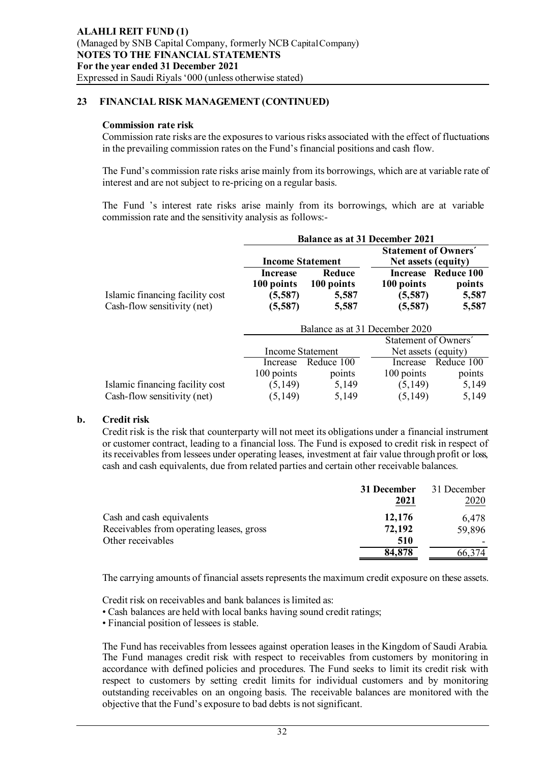# **23 FINANCIAL RISK MANAGEMENT (CONTINUED)**

#### **Commission rate risk**

Commission rate risks are the exposures to various risks associated with the effect of fluctuations in the prevailing commission rates on the Fund's financial positions and cash flow.

The Fund's commission rate risks arise mainly from its borrowings, which are at variable rate of interest and are not subject to re-pricing on a regular basis.

The Fund 's interest rate risks arise mainly from its borrowings, which are at variable commission rate and the sensitivity analysis as follows:-

|                                 | <b>Balance as at 31 December 2021</b> |                      |                                                    |                               |  |
|---------------------------------|---------------------------------------|----------------------|----------------------------------------------------|-------------------------------|--|
|                                 | <b>Income Statement</b>               |                      | <b>Statement of Owners'</b><br>Net assets (equity) |                               |  |
|                                 | Increase<br>100 points                | Reduce<br>100 points | 100 points                                         | Increase Reduce 100<br>points |  |
| Islamic financing facility cost | (5, 587)                              | 5,587                | (5,587)                                            | 5,587                         |  |
| Cash-flow sensitivity (net)     | (5, 587)                              | 5,587                | (5,587)                                            | 5,587                         |  |

|                                 | Balance as at 31 December 2020 |                      |                     |            |  |
|---------------------------------|--------------------------------|----------------------|---------------------|------------|--|
|                                 |                                | Statement of Owners' |                     |            |  |
|                                 | Income Statement               |                      | Net assets (equity) |            |  |
|                                 | Increase                       | Reduce 100           |                     | Reduce 100 |  |
|                                 | 100 points                     | points               | 100 points          | points     |  |
| Islamic financing facility cost | (5, 149)                       | 5,149                | (5,149)             | 5,149      |  |
| Cash-flow sensitivity (net)     | (5,149)                        | 5,149                | (5,149)             | 5,149      |  |

#### **b. Credit risk**

Credit risk is the risk that counterparty will not meet its obligations under a financial instrument or customer contract, leading to a financial loss. The Fund is exposed to credit risk in respect of its receivables from lessees under operating leases, investment at fair value through profit or loss, cash and cash equivalents, due from related parties and certain other receivable balances.

|                                          | 31 December | 31 December |
|------------------------------------------|-------------|-------------|
|                                          | 2021        | <u>2020</u> |
| Cash and cash equivalents                | 12,176      | 6,478       |
| Receivables from operating leases, gross | 72,192      | 59,896      |
| Other receivables                        | 510         |             |
|                                          | 84,878      | 66.374      |

The carrying amounts of financial assets represents the maximum credit exposure on these assets.

Credit risk on receivables and bank balances is limited as:

• Cash balances are held with local banks having sound credit ratings;

• Financial position of lessees is stable.

The Fund has receivables from lessees against operation leases in the Kingdom of Saudi Arabia. The Fund manages credit risk with respect to receivables from customers by monitoring in accordance with defined policies and procedures. The Fund seeks to limit its credit risk with respect to customers by setting credit limits for individual customers and by monitoring outstanding receivables on an ongoing basis. The receivable balances are monitored with the objective that the Fund's exposure to bad debts is not significant.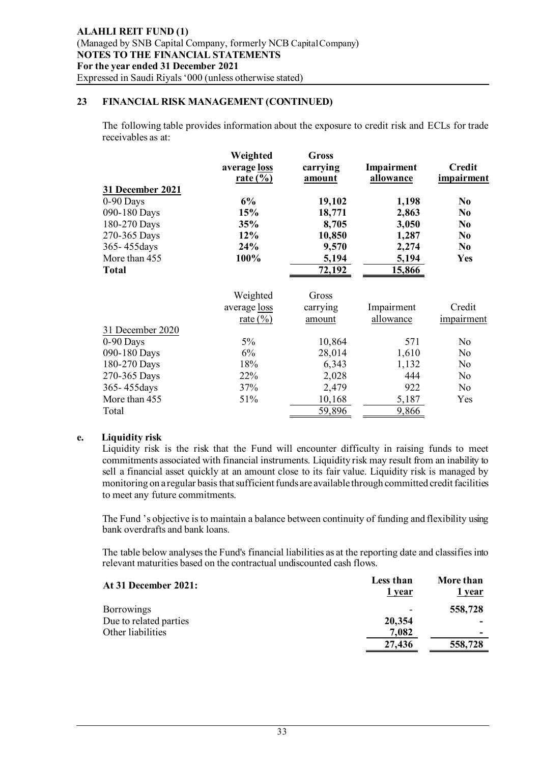## **23 FINANCIAL RISK MANAGEMENT (CONTINUED)**

The following table provides information about the exposure to credit risk and ECLs for trade receivables as at:

|                                                                                                                                 | Weighted<br>average loss<br>$rate (%)$  | <b>Gross</b><br>carrying<br>amount                              | Impairment<br>allowance                                      | <b>Credit</b><br>impairment                                                                          |
|---------------------------------------------------------------------------------------------------------------------------------|-----------------------------------------|-----------------------------------------------------------------|--------------------------------------------------------------|------------------------------------------------------------------------------------------------------|
| 31 December 2021<br>$0-90$ Days<br>090-180 Days<br>180-270 Days<br>270-365 Days<br>365-455days<br>More than 455<br><b>Total</b> | 6%<br>15%<br>35%<br>12%<br>24%<br>100%  | 19,102<br>18,771<br>8,705<br>10,850<br>9,570<br>5,194<br>72,192 | 1,198<br>2,863<br>3,050<br>1,287<br>2,274<br>5,194<br>15,866 | N <sub>0</sub><br>N <sub>0</sub><br>N <sub>0</sub><br>N <sub>0</sub><br>N <sub>0</sub><br><b>Yes</b> |
|                                                                                                                                 | Weighted<br>average loss<br>rate $(\%)$ | Gross<br>carrying<br>amount                                     | Impairment<br>allowance                                      | Credit<br>impairment                                                                                 |
| 31 December 2020                                                                                                                |                                         |                                                                 |                                                              |                                                                                                      |
| $0-90$ Days                                                                                                                     | 5%                                      | 10,864                                                          | 571                                                          | No                                                                                                   |
| 090-180 Days                                                                                                                    | 6%                                      | 28,014                                                          | 1,610                                                        | No                                                                                                   |
| 180-270 Days                                                                                                                    | 18%                                     | 6,343                                                           | 1,132                                                        | No                                                                                                   |
| 270-365 Days                                                                                                                    | 22%                                     | 2,028                                                           | 444                                                          | No                                                                                                   |
| 365-455days                                                                                                                     | 37%                                     | 2,479                                                           | 922                                                          | No                                                                                                   |
| More than 455<br>Total                                                                                                          | 51%                                     | 10,168<br>59,896                                                | 5,187<br>9,866                                               | Yes                                                                                                  |

#### **e. Liquidity risk**

Liquidity risk is the risk that the Fund will encounter difficulty in raising funds to meet commitments associated with financial instruments. Liquidity risk may result from an inability to sell a financial asset quickly at an amount close to its fair value. Liquidity risk is managed by monitoring on a regular basis that sufficient funds are available through committed credit facilities to meet any future commitments.

The Fund 's objective is to maintain a balance between continuity of funding and flexibility using bank overdrafts and bank loans.

The table below analyses the Fund's financial liabilities as at the reporting date and classifies into relevant maturities based on the contractual undiscounted cash flows.

| At 31 December 2021:   | Less than<br>1 year | More than<br>1 year |
|------------------------|---------------------|---------------------|
| <b>Borrowings</b>      |                     | 558,728             |
| Due to related parties | 20,354              | -                   |
| Other liabilities      | 7,082               | -                   |
|                        | 27,436              | 558,728             |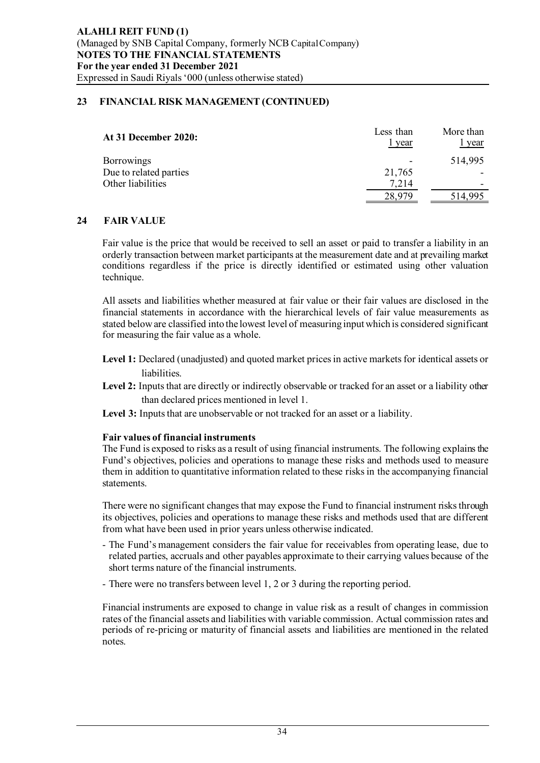# **23 FINANCIAL RISK MANAGEMENT (CONTINUED)**

| <b>At 31 December 2020:</b> | Less than<br>l year | More than<br>year |
|-----------------------------|---------------------|-------------------|
| Borrowings                  |                     | 514,995           |
| Due to related parties      | 21,765              |                   |
| Other liabilities           | 7,214               |                   |
|                             | 28,979              | 514,995           |

# **24 FAIR VALUE**

Fair value is the price that would be received to sell an asset or paid to transfer a liability in an orderly transaction between market participants at the measurement date and at prevailing market conditions regardless if the price is directly identified or estimated using other valuation technique.

All assets and liabilities whether measured at fair value or their fair values are disclosed in the financial statements in accordance with the hierarchical levels of fair value measurements as stated below are classified into the lowest level of measuring input which is considered significant for measuring the fair value as a whole.

- **Level 1:** Declared (unadjusted) and quoted market prices in active markets for identical assets or liabilities.
- Level 2: Inputs that are directly or indirectly observable or tracked for an asset or a liability other than declared prices mentioned in level 1.
- **Level 3:** Inputs that are unobservable or not tracked for an asset or a liability.

# **Fair values of financial instruments**

The Fund is exposed to risks as a result of using financial instruments. The following explains the Fund's objectives, policies and operations to manage these risks and methods used to measure them in addition to quantitative information related to these risks in the accompanying financial statements.

There were no significant changes that may expose the Fund to financial instrument risks through its objectives, policies and operations to manage these risks and methods used that are different from what have been used in prior years unless otherwise indicated.

- The Fund's management considers the fair value for receivables from operating lease, due to related parties, accruals and other payables approximate to their carrying values because of the short terms nature of the financial instruments.
- There were no transfers between level 1, 2 or 3 during the reporting period.

Financial instruments are exposed to change in value risk as a result of changes in commission rates of the financial assets and liabilities with variable commission. Actual commission rates and periods of re-pricing or maturity of financial assets and liabilities are mentioned in the related notes.